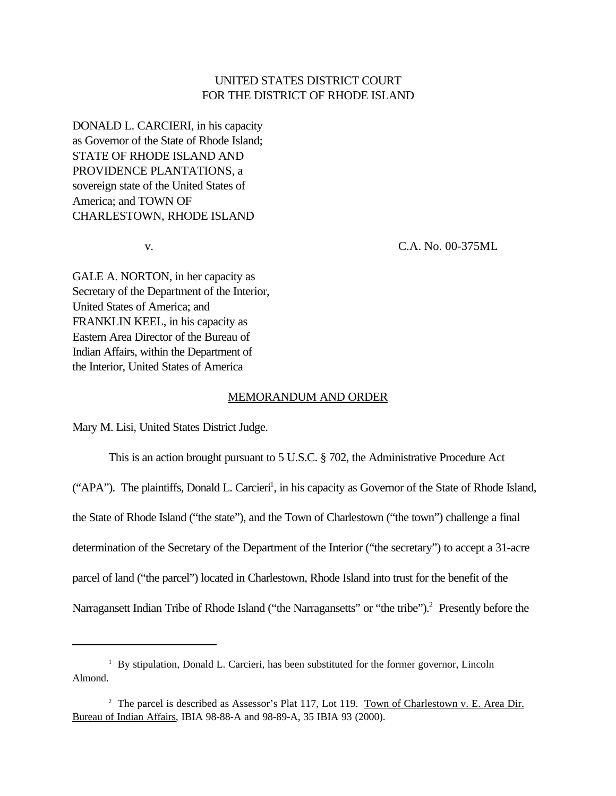## UNITED STATES DISTRICT COURT FOR THE DISTRICT OF RHODE ISLAND

DONALD L. CARCIERI, in his capacity as Governor of the State of Rhode Island; STATE OF RHODE ISLAND AND PROVIDENCE PLANTATIONS, a sovereign state of the United States of America; and TOWN OF CHARLESTOWN, RHODE ISLAND

v. C.A. No. 00-375ML

GALE A. NORTON, in her capacity as Secretary of the Department of the Interior, United States of America; and FRANKLIN KEEL, in his capacity as Eastern Area Director of the Bureau of Indian Affairs, within the Department of the Interior, United States of America

## MEMORANDUM AND ORDER

Mary M. Lisi, United States District Judge.

This is an action brought pursuant to 5 U.S.C. § 702, the Administrative Procedure Act

("APA"). The plaintiffs, Donald L. Carcieri<sup>1</sup>, in his capacity as Governor of the State of Rhode Island, the State of Rhode Island ("the state"), and the Town of Charlestown ("the town") challenge a final determination of the Secretary of the Department of the Interior ("the secretary") to accept a 31-acre parcel of land ("the parcel") located in Charlestown, Rhode Island into trust for the benefit of the Narragansett Indian Tribe of Rhode Island ("the Narragansetts" or "the tribe").<sup>2</sup> Presently before the

<sup>&</sup>lt;sup>1</sup> By stipulation, Donald L. Carcieri, has been substituted for the former governor, Lincoln Almond.

<sup>&</sup>lt;sup>2</sup> The parcel is described as Assessor's Plat 117, Lot 119. Town of Charlestown v. E. Area Dir. Bureau of Indian Affairs, IBIA 98-88-A and 98-89-A, 35 IBIA 93 (2000).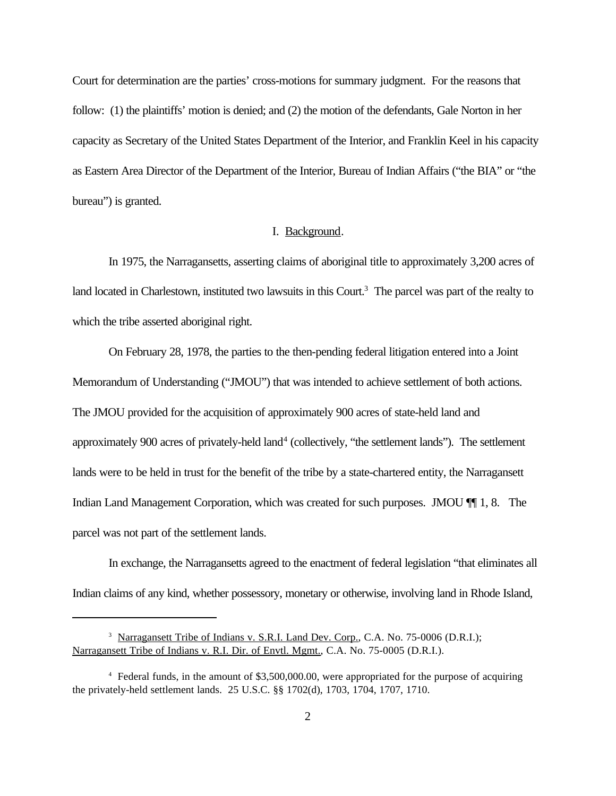Court for determination are the parties' cross-motions for summary judgment. For the reasons that follow: (1) the plaintiffs' motion is denied; and (2) the motion of the defendants, Gale Norton in her capacity as Secretary of the United States Department of the Interior, and Franklin Keel in his capacity as Eastern Area Director of the Department of the Interior, Bureau of Indian Affairs ("the BIA" or "the bureau") is granted.

## I. Background.

In 1975, the Narragansetts, asserting claims of aboriginal title to approximately 3,200 acres of land located in Charlestown, instituted two lawsuits in this Court.<sup>3</sup> The parcel was part of the realty to which the tribe asserted aboriginal right.

On February 28, 1978, the parties to the then-pending federal litigation entered into a Joint Memorandum of Understanding ("JMOU") that was intended to achieve settlement of both actions. The JMOU provided for the acquisition of approximately 900 acres of state-held land and approximately 900 acres of privately-held land<sup>4</sup> (collectively, "the settlement lands"). The settlement lands were to be held in trust for the benefit of the tribe by a state-chartered entity, the Narragansett Indian Land Management Corporation, which was created for such purposes. JMOU  $\P$  1, 8. The parcel was not part of the settlement lands.

In exchange, the Narragansetts agreed to the enactment of federal legislation "that eliminates all Indian claims of any kind, whether possessory, monetary or otherwise, involving land in Rhode Island,

<sup>&</sup>lt;sup>3</sup> Narragansett Tribe of Indians v. S.R.I. Land Dev. Corp., C.A. No. 75-0006 (D.R.I.); Narragansett Tribe of Indians v. R.I. Dir. of Envtl. Mgmt., C.A. No. 75-0005 (D.R.I.).

<sup>4</sup> Federal funds, in the amount of \$3,500,000.00, were appropriated for the purpose of acquiring the privately-held settlement lands. 25 U.S.C. §§ 1702(d), 1703, 1704, 1707, 1710.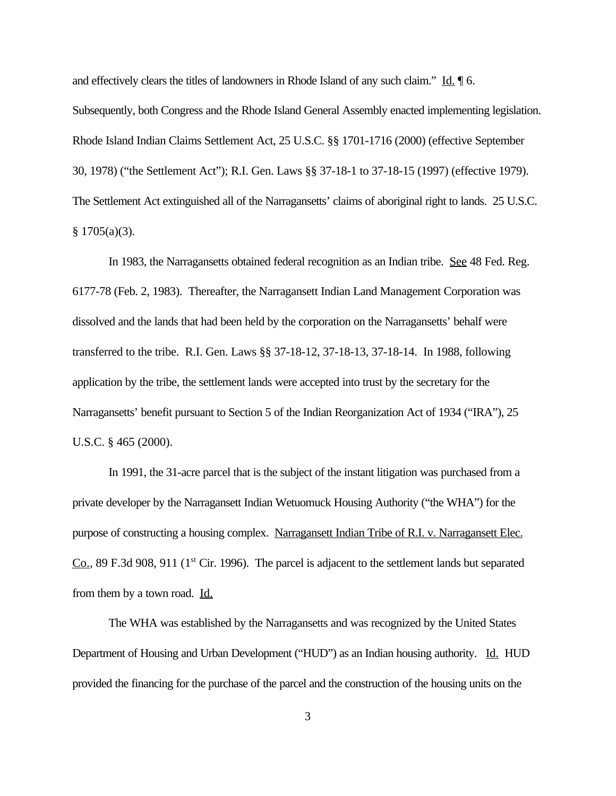and effectively clears the titles of landowners in Rhode Island of any such claim." Id.  $\parallel$  6. Subsequently, both Congress and the Rhode Island General Assembly enacted implementing legislation. Rhode Island Indian Claims Settlement Act, 25 U.S.C. §§ 1701-1716 (2000) (effective September 30, 1978) ("the Settlement Act"); R.I. Gen. Laws §§ 37-18-1 to 37-18-15 (1997) (effective 1979). The Settlement Act extinguished all of the Narragansetts' claims of aboriginal right to lands. 25 U.S.C.  $§ 1705(a)(3).$ 

In 1983, the Narragansetts obtained federal recognition as an Indian tribe. See 48 Fed. Reg. 6177-78 (Feb. 2, 1983). Thereafter, the Narragansett Indian Land Management Corporation was dissolved and the lands that had been held by the corporation on the Narragansetts' behalf were transferred to the tribe. R.I. Gen. Laws §§ 37-18-12, 37-18-13, 37-18-14. In 1988, following application by the tribe, the settlement lands were accepted into trust by the secretary for the Narragansetts' benefit pursuant to Section 5 of the Indian Reorganization Act of 1934 ("IRA"), 25 U.S.C. § 465 (2000).

In 1991, the 31-acre parcel that is the subject of the instant litigation was purchased from a private developer by the Narragansett Indian Wetuomuck Housing Authority ("the WHA") for the purpose of constructing a housing complex. Narragansett Indian Tribe of R.I. v. Narragansett Elec. Co., 89 F.3d 908, 911 (1<sup>st</sup> Cir. 1996). The parcel is adjacent to the settlement lands but separated from them by a town road. Id.

The WHA was established by the Narragansetts and was recognized by the United States Department of Housing and Urban Development ("HUD") as an Indian housing authority. Id. HUD provided the financing for the purchase of the parcel and the construction of the housing units on the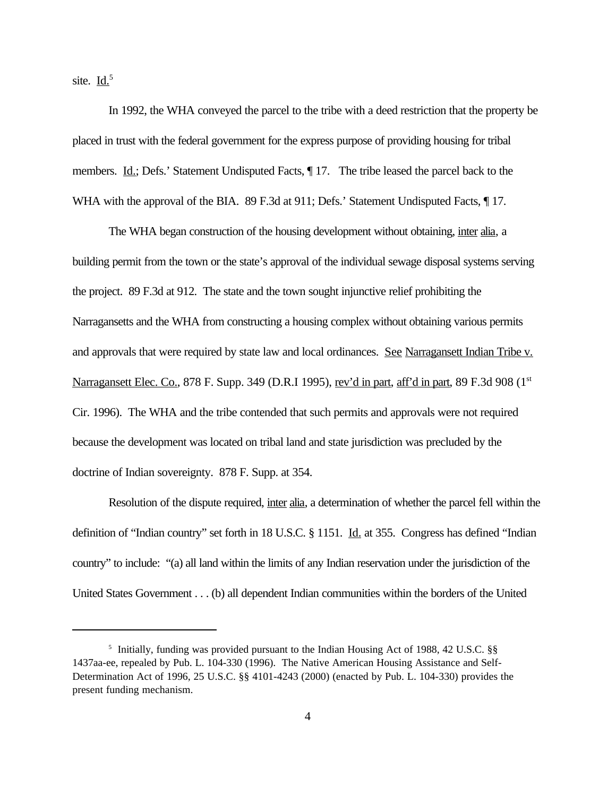site. Id.<sup>5</sup>

In 1992, the WHA conveyed the parcel to the tribe with a deed restriction that the property be placed in trust with the federal government for the express purpose of providing housing for tribal members. Id.; Defs.' Statement Undisputed Facts,  $\P$  17. The tribe leased the parcel back to the WHA with the approval of the BIA. 89 F.3d at 911; Defs.' Statement Undisputed Facts,  $\P$  17.

The WHA began construction of the housing development without obtaining, inter alia, a building permit from the town or the state's approval of the individual sewage disposal systems serving the project. 89 F.3d at 912. The state and the town sought injunctive relief prohibiting the Narragansetts and the WHA from constructing a housing complex without obtaining various permits and approvals that were required by state law and local ordinances. See Narragansett Indian Tribe v. Narragansett Elec. Co., 878 F. Supp. 349 (D.R.I 1995), rev'd in part, aff'd in part, 89 F.3d 908 (1st Cir. 1996). The WHA and the tribe contended that such permits and approvals were not required because the development was located on tribal land and state jurisdiction was precluded by the doctrine of Indian sovereignty. 878 F. Supp. at 354.

Resolution of the dispute required, inter alia, a determination of whether the parcel fell within the definition of "Indian country" set forth in 18 U.S.C. § 1151. Id. at 355. Congress has defined "Indian country" to include: "(a) all land within the limits of any Indian reservation under the jurisdiction of the United States Government . . . (b) all dependent Indian communities within the borders of the United

<sup>&</sup>lt;sup>5</sup> Initially, funding was provided pursuant to the Indian Housing Act of 1988, 42 U.S.C. §§ 1437aa-ee, repealed by Pub. L. 104-330 (1996). The Native American Housing Assistance and Self-Determination Act of 1996, 25 U.S.C. §§ 4101-4243 (2000) (enacted by Pub. L. 104-330) provides the present funding mechanism.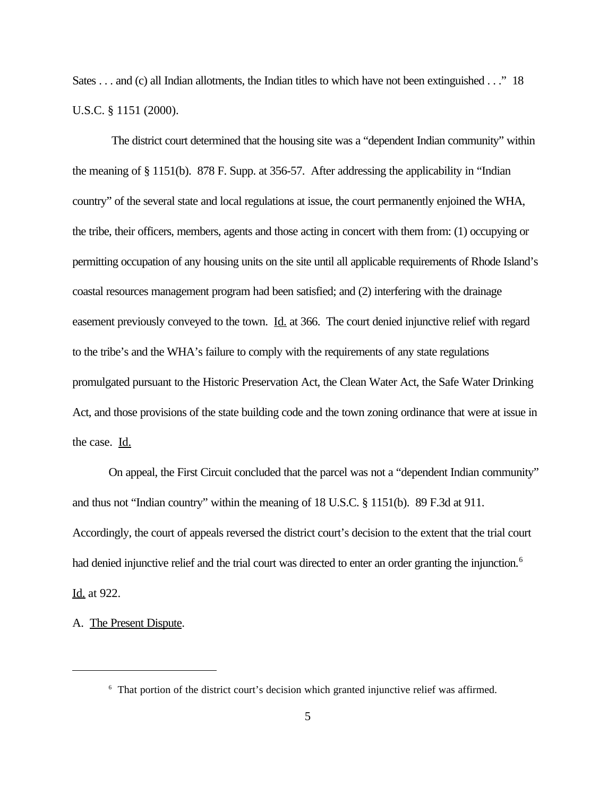Sates . . . and (c) all Indian allotments, the Indian titles to which have not been extinguished . . ." 18 U.S.C. § 1151 (2000).

 The district court determined that the housing site was a "dependent Indian community" within the meaning of § 1151(b). 878 F. Supp. at 356-57. After addressing the applicability in "Indian country" of the several state and local regulations at issue, the court permanently enjoined the WHA, the tribe, their officers, members, agents and those acting in concert with them from: (1) occupying or permitting occupation of any housing units on the site until all applicable requirements of Rhode Island's coastal resources management program had been satisfied; and (2) interfering with the drainage easement previously conveyed to the town. Id. at 366. The court denied injunctive relief with regard to the tribe's and the WHA's failure to comply with the requirements of any state regulations promulgated pursuant to the Historic Preservation Act, the Clean Water Act, the Safe Water Drinking Act, and those provisions of the state building code and the town zoning ordinance that were at issue in the case. Id.

On appeal, the First Circuit concluded that the parcel was not a "dependent Indian community" and thus not "Indian country" within the meaning of 18 U.S.C. § 1151(b). 89 F.3d at 911. Accordingly, the court of appeals reversed the district court's decision to the extent that the trial court had denied injunctive relief and the trial court was directed to enter an order granting the injunction.<sup>6</sup> Id. at 922.

A. The Present Dispute.

<sup>6</sup> That portion of the district court's decision which granted injunctive relief was affirmed.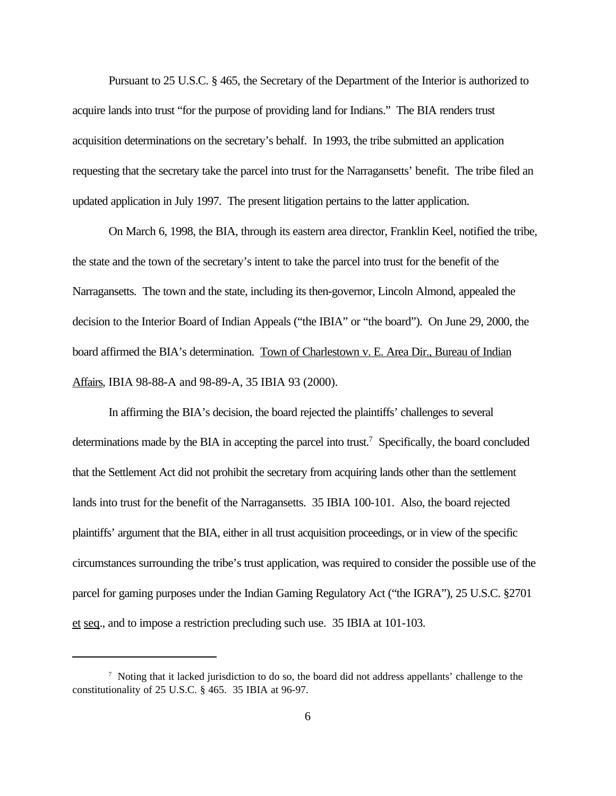Pursuant to 25 U.S.C. § 465, the Secretary of the Department of the Interior is authorized to acquire lands into trust "for the purpose of providing land for Indians." The BIA renders trust acquisition determinations on the secretary's behalf. In 1993, the tribe submitted an application requesting that the secretary take the parcel into trust for the Narragansetts' benefit. The tribe filed an updated application in July 1997. The present litigation pertains to the latter application.

On March 6, 1998, the BIA, through its eastern area director, Franklin Keel, notified the tribe, the state and the town of the secretary's intent to take the parcel into trust for the benefit of the Narragansetts. The town and the state, including its then-governor, Lincoln Almond, appealed the decision to the Interior Board of Indian Appeals ("the IBIA" or "the board"). On June 29, 2000, the board affirmed the BIA's determination. Town of Charlestown v. E. Area Dir., Bureau of Indian Affairs, IBIA 98-88-A and 98-89-A, 35 IBIA 93 (2000).

In affirming the BIA's decision, the board rejected the plaintiffs' challenges to several determinations made by the BIA in accepting the parcel into trust.<sup>7</sup> Specifically, the board concluded that the Settlement Act did not prohibit the secretary from acquiring lands other than the settlement lands into trust for the benefit of the Narragansetts. 35 IBIA 100-101. Also, the board rejected plaintiffs' argument that the BIA, either in all trust acquisition proceedings, or in view of the specific circumstances surrounding the tribe's trust application, was required to consider the possible use of the parcel for gaming purposes under the Indian Gaming Regulatory Act ("the IGRA"), 25 U.S.C. §2701 et seq., and to impose a restriction precluding such use. 35 IBIA at 101-103.

<sup>7</sup> Noting that it lacked jurisdiction to do so, the board did not address appellants' challenge to the constitutionality of 25 U.S.C. § 465. 35 IBIA at 96-97.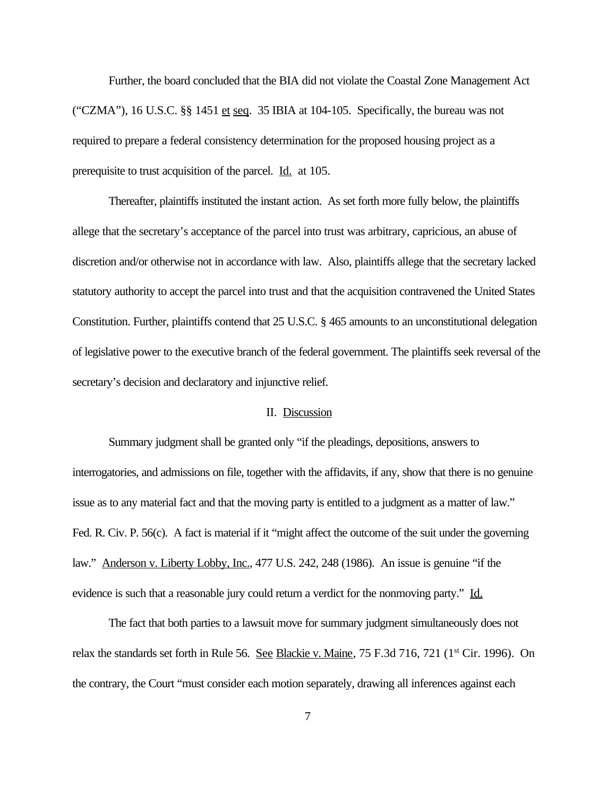Further, the board concluded that the BIA did not violate the Coastal Zone Management Act ("CZMA"), 16 U.S.C.  $\S$  1451 et seq. 35 IBIA at 104-105. Specifically, the bureau was not required to prepare a federal consistency determination for the proposed housing project as a prerequisite to trust acquisition of the parcel. Id. at 105.

Thereafter, plaintiffs instituted the instant action. As set forth more fully below, the plaintiffs allege that the secretary's acceptance of the parcel into trust was arbitrary, capricious, an abuse of discretion and/or otherwise not in accordance with law. Also, plaintiffs allege that the secretary lacked statutory authority to accept the parcel into trust and that the acquisition contravened the United States Constitution. Further, plaintiffs contend that 25 U.S.C. § 465 amounts to an unconstitutional delegation of legislative power to the executive branch of the federal government. The plaintiffs seek reversal of the secretary's decision and declaratory and injunctive relief.

### II. Discussion

Summary judgment shall be granted only "if the pleadings, depositions, answers to interrogatories, and admissions on file, together with the affidavits, if any, show that there is no genuine issue as to any material fact and that the moving party is entitled to a judgment as a matter of law." Fed. R. Civ. P. 56(c). A fact is material if it "might affect the outcome of the suit under the governing law." Anderson v. Liberty Lobby, Inc., 477 U.S. 242, 248 (1986). An issue is genuine "if the evidence is such that a reasonable jury could return a verdict for the nonmoving party." Id.

The fact that both parties to a lawsuit move for summary judgment simultaneously does not relax the standards set forth in Rule 56. See Blackie v. Maine, 75 F.3d 716, 721 (1<sup>st</sup> Cir. 1996). On the contrary, the Court "must consider each motion separately, drawing all inferences against each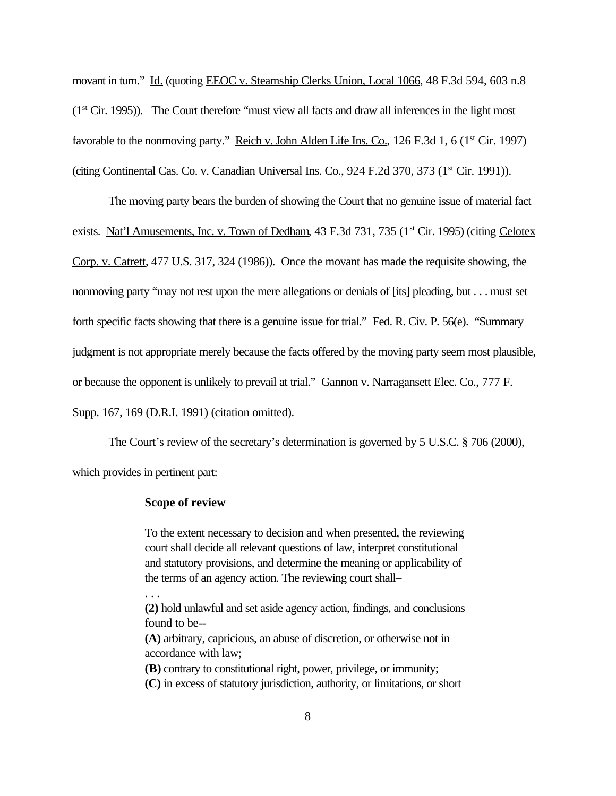movant in turn." Id. (quoting EEOC v. Steamship Clerks Union, Local 1066, 48 F.3d 594, 603 n.8 (1st Cir. 1995)). The Court therefore "must view all facts and draw all inferences in the light most favorable to the nonmoving party." Reich v. John Alden Life Ins. Co., 126 F.3d 1, 6 (1<sup>st</sup> Cir. 1997) (citing Continental Cas. Co. v. Canadian Universal Ins. Co., 924 F.2d 370, 373 (1<sup>st</sup> Cir. 1991)).

The moving party bears the burden of showing the Court that no genuine issue of material fact exists. Nat'l Amusements, Inc. v. Town of Dedham, 43 F.3d 731, 735 (1<sup>st</sup> Cir. 1995) (citing Celotex Corp. v. Catrett, 477 U.S. 317, 324 (1986)). Once the movant has made the requisite showing, the nonmoving party "may not rest upon the mere allegations or denials of [its] pleading, but . . . must set forth specific facts showing that there is a genuine issue for trial." Fed. R. Civ. P. 56(e). "Summary judgment is not appropriate merely because the facts offered by the moving party seem most plausible, or because the opponent is unlikely to prevail at trial." Gannon v. Narragansett Elec. Co., 777 F. Supp. 167, 169 (D.R.I. 1991) (citation omitted).

The Court's review of the secretary's determination is governed by 5 U.S.C. § 706 (2000), which provides in pertinent part:

### **Scope of review**

. . .

To the extent necessary to decision and when presented, the reviewing court shall decide all relevant questions of law, interpret constitutional and statutory provisions, and determine the meaning or applicability of the terms of an agency action. The reviewing court shall–

**(2)** hold unlawful and set aside agency action, findings, and conclusions found to be-- **(A)** arbitrary, capricious, an abuse of discretion, or otherwise not in accordance with law; **(B)** contrary to constitutional right, power, privilege, or immunity;

**(C)** in excess of statutory jurisdiction, authority, or limitations, or short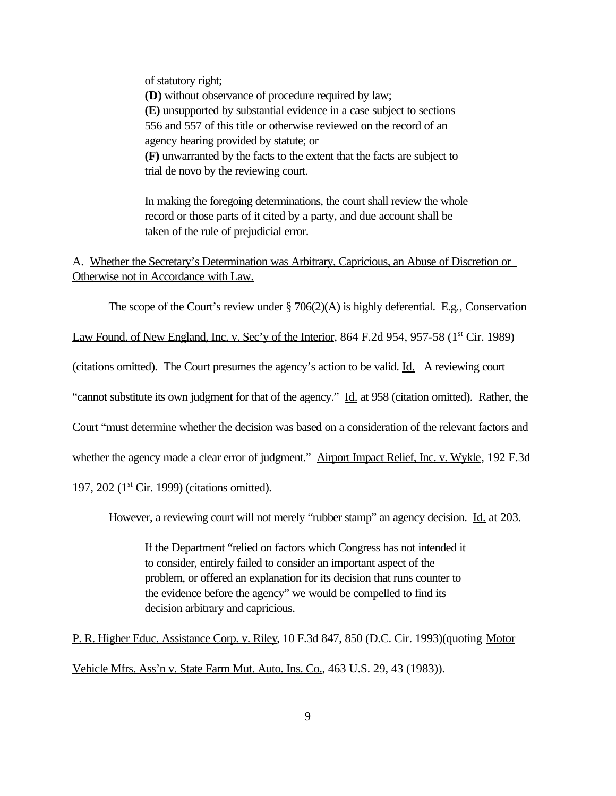of statutory right; **(D)** without observance of procedure required by law; **(E)** unsupported by substantial evidence in a case subject to sections 556 and 557 of this title or otherwise reviewed on the record of an agency hearing provided by statute; or **(F)** unwarranted by the facts to the extent that the facts are subject to trial de novo by the reviewing court.

In making the foregoing determinations, the court shall review the whole record or those parts of it cited by a party, and due account shall be taken of the rule of prejudicial error.

A. Whether the Secretary's Determination was Arbitrary, Capricious, an Abuse of Discretion or Otherwise not in Accordance with Law.

The scope of the Court's review under  $\S$  706(2)(A) is highly deferential. E.g., Conservation

Law Found. of New England, Inc. v. Sec'y of the Interior, 864 F.2d 954, 957-58 (1<sup>st</sup> Cir. 1989)

(citations omitted). The Court presumes the agency's action to be valid. Id. A reviewing court

"cannot substitute its own judgment for that of the agency." Id. at 958 (citation omitted). Rather, the

Court "must determine whether the decision was based on a consideration of the relevant factors and

whether the agency made a clear error of judgment." Airport Impact Relief, Inc. v. Wykle, 192 F.3d

197, 202 (1st Cir. 1999) (citations omitted).

However, a reviewing court will not merely "rubber stamp" an agency decision. Id. at 203.

If the Department "relied on factors which Congress has not intended it to consider, entirely failed to consider an important aspect of the problem, or offered an explanation for its decision that runs counter to the evidence before the agency" we would be compelled to find its decision arbitrary and capricious.

P. R. Higher Educ. Assistance Corp. v. Riley, 10 F.3d 847, 850 (D.C. Cir. 1993)(quoting Motor Vehicle Mfrs. Ass'n v. State Farm Mut. Auto. Ins. Co., 463 U.S. 29, 43 (1983)).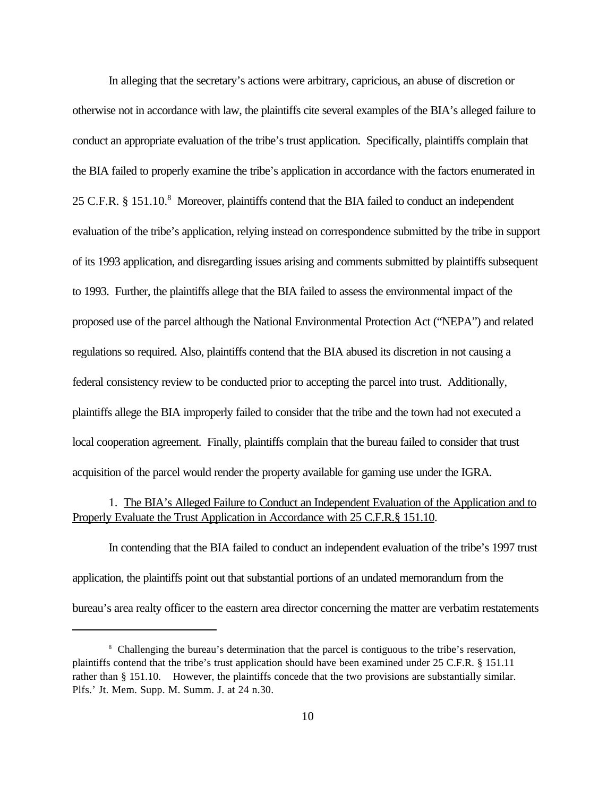In alleging that the secretary's actions were arbitrary, capricious, an abuse of discretion or otherwise not in accordance with law, the plaintiffs cite several examples of the BIA's alleged failure to conduct an appropriate evaluation of the tribe's trust application. Specifically, plaintiffs complain that the BIA failed to properly examine the tribe's application in accordance with the factors enumerated in 25 C.F.R. § 151.10.<sup>8</sup> Moreover, plaintiffs contend that the BIA failed to conduct an independent evaluation of the tribe's application, relying instead on correspondence submitted by the tribe in support of its 1993 application, and disregarding issues arising and comments submitted by plaintiffs subsequent to 1993. Further, the plaintiffs allege that the BIA failed to assess the environmental impact of the proposed use of the parcel although the National Environmental Protection Act ("NEPA") and related regulations so required. Also, plaintiffs contend that the BIA abused its discretion in not causing a federal consistency review to be conducted prior to accepting the parcel into trust. Additionally, plaintiffs allege the BIA improperly failed to consider that the tribe and the town had not executed a local cooperation agreement. Finally, plaintiffs complain that the bureau failed to consider that trust acquisition of the parcel would render the property available for gaming use under the IGRA.

# 1. The BIA's Alleged Failure to Conduct an Independent Evaluation of the Application and to Properly Evaluate the Trust Application in Accordance with 25 C.F.R.§ 151.10.

In contending that the BIA failed to conduct an independent evaluation of the tribe's 1997 trust application, the plaintiffs point out that substantial portions of an undated memorandum from the bureau's area realty officer to the eastern area director concerning the matter are verbatim restatements

<sup>&</sup>lt;sup>8</sup> Challenging the bureau's determination that the parcel is contiguous to the tribe's reservation, plaintiffs contend that the tribe's trust application should have been examined under 25 C.F.R. § 151.11 rather than § 151.10. However, the plaintiffs concede that the two provisions are substantially similar. Plfs.' Jt. Mem. Supp. M. Summ. J. at 24 n.30.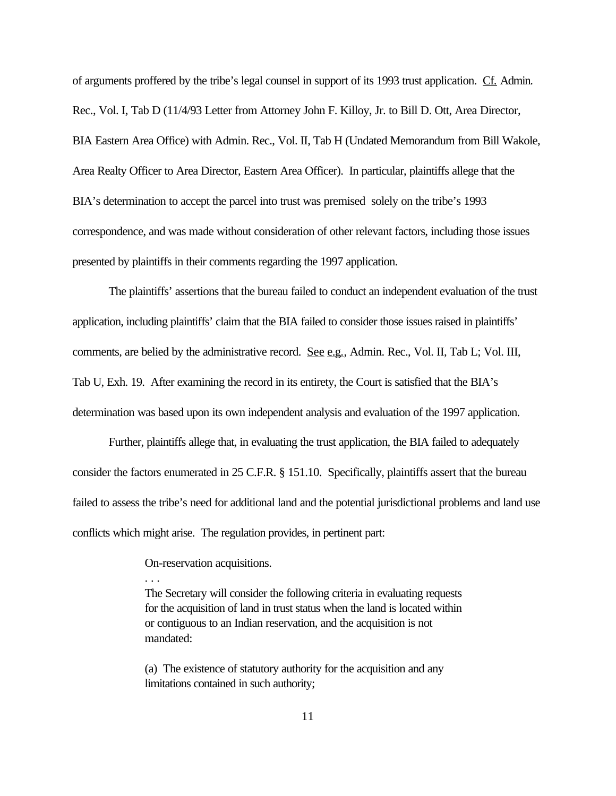of arguments proffered by the tribe's legal counsel in support of its 1993 trust application. Cf. Admin. Rec., Vol. I, Tab D (11/4/93 Letter from Attorney John F. Killoy, Jr. to Bill D. Ott, Area Director, BIA Eastern Area Office) with Admin. Rec., Vol. II, Tab H (Undated Memorandum from Bill Wakole, Area Realty Officer to Area Director, Eastern Area Officer). In particular, plaintiffs allege that the BIA's determination to accept the parcel into trust was premised solely on the tribe's 1993 correspondence, and was made without consideration of other relevant factors, including those issues presented by plaintiffs in their comments regarding the 1997 application.

The plaintiffs' assertions that the bureau failed to conduct an independent evaluation of the trust application, including plaintiffs' claim that the BIA failed to consider those issues raised in plaintiffs' comments, are belied by the administrative record. See e.g., Admin. Rec., Vol. II, Tab L; Vol. III, Tab U, Exh. 19. After examining the record in its entirety, the Court is satisfied that the BIA's determination was based upon its own independent analysis and evaluation of the 1997 application.

Further, plaintiffs allege that, in evaluating the trust application, the BIA failed to adequately consider the factors enumerated in 25 C.F.R. § 151.10. Specifically, plaintiffs assert that the bureau failed to assess the tribe's need for additional land and the potential jurisdictional problems and land use conflicts which might arise. The regulation provides, in pertinent part:

On-reservation acquisitions.

. . .

The Secretary will consider the following criteria in evaluating requests for the acquisition of land in trust status when the land is located within or contiguous to an Indian reservation, and the acquisition is not mandated:

(a) The existence of statutory authority for the acquisition and any limitations contained in such authority;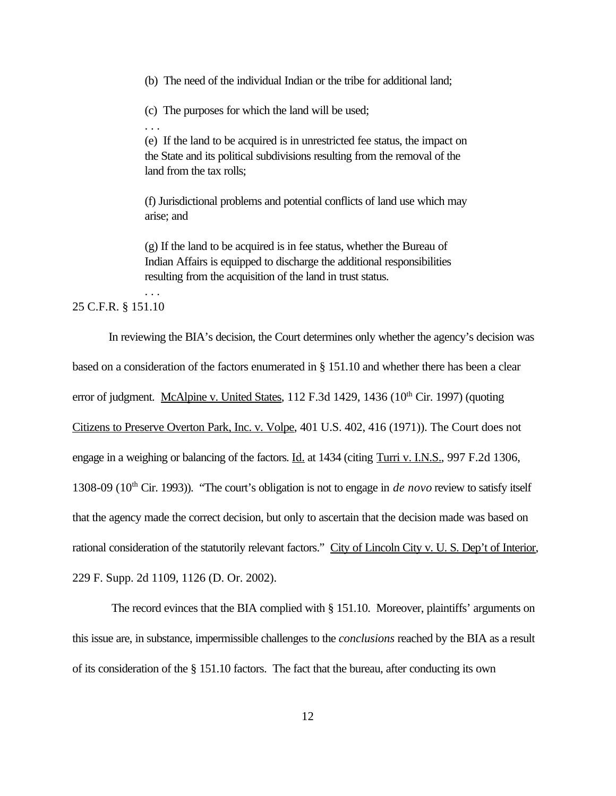(b) The need of the individual Indian or the tribe for additional land;

(c) The purposes for which the land will be used;

(e) If the land to be acquired is in unrestricted fee status, the impact on the State and its political subdivisions resulting from the removal of the land from the tax rolls;

(f) Jurisdictional problems and potential conflicts of land use which may arise; and

(g) If the land to be acquired is in fee status, whether the Bureau of Indian Affairs is equipped to discharge the additional responsibilities resulting from the acquisition of the land in trust status.

## 25 C.F.R. § 151.10

. . .

. . .

In reviewing the BIA's decision, the Court determines only whether the agency's decision was based on a consideration of the factors enumerated in § 151.10 and whether there has been a clear error of judgment. McAlpine v. United States, 112 F.3d 1429, 1436 (10<sup>th</sup> Cir. 1997) (quoting Citizens to Preserve Overton Park, Inc. v. Volpe, 401 U.S. 402, 416 (1971)). The Court does not engage in a weighing or balancing of the factors. Id. at 1434 (citing Turri v. I.N.S., 997 F.2d 1306, 1308-09 (10th Cir. 1993)). "The court's obligation is not to engage in *de novo* review to satisfy itself that the agency made the correct decision, but only to ascertain that the decision made was based on rational consideration of the statutorily relevant factors." City of Lincoln City v. U. S. Dep't of Interior, 229 F. Supp. 2d 1109, 1126 (D. Or. 2002).

 The record evinces that the BIA complied with § 151.10. Moreover, plaintiffs' arguments on this issue are, in substance, impermissible challenges to the *conclusions* reached by the BIA as a result of its consideration of the § 151.10 factors. The fact that the bureau, after conducting its own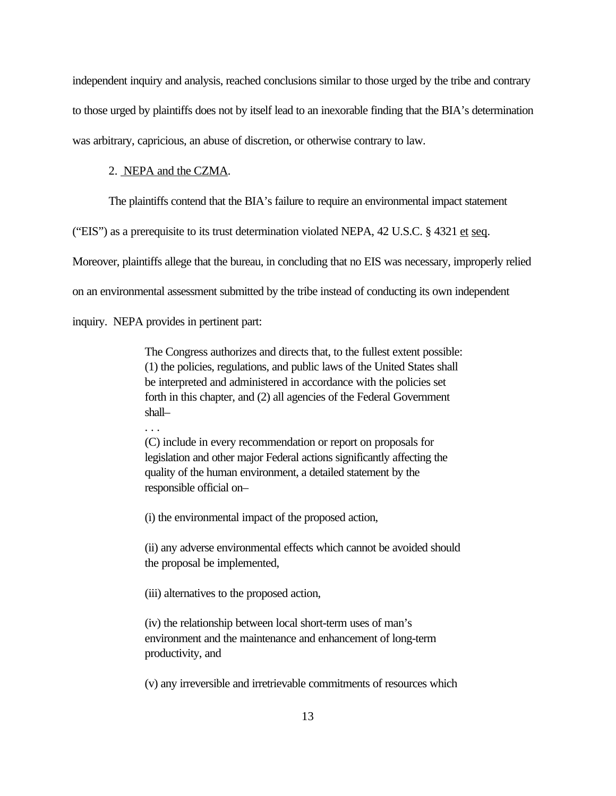independent inquiry and analysis, reached conclusions similar to those urged by the tribe and contrary to those urged by plaintiffs does not by itself lead to an inexorable finding that the BIA's determination was arbitrary, capricious, an abuse of discretion, or otherwise contrary to law.

## 2. NEPA and the CZMA.

The plaintiffs contend that the BIA's failure to require an environmental impact statement

("EIS") as a prerequisite to its trust determination violated NEPA,  $42$  U.S.C. §  $4321$  et seq.

Moreover, plaintiffs allege that the bureau, in concluding that no EIS was necessary, improperly relied

on an environmental assessment submitted by the tribe instead of conducting its own independent

inquiry. NEPA provides in pertinent part:

. . .

The Congress authorizes and directs that, to the fullest extent possible: (1) the policies, regulations, and public laws of the United States shall be interpreted and administered in accordance with the policies set forth in this chapter, and (2) all agencies of the Federal Government shall–

 (C) include in every recommendation or report on proposals for legislation and other major Federal actions significantly affecting the quality of the human environment, a detailed statement by the responsible official on–

(i) the environmental impact of the proposed action,

(ii) any adverse environmental effects which cannot be avoided should the proposal be implemented,

(iii) alternatives to the proposed action,

(iv) the relationship between local short-term uses of man's environment and the maintenance and enhancement of long-term productivity, and

(v) any irreversible and irretrievable commitments of resources which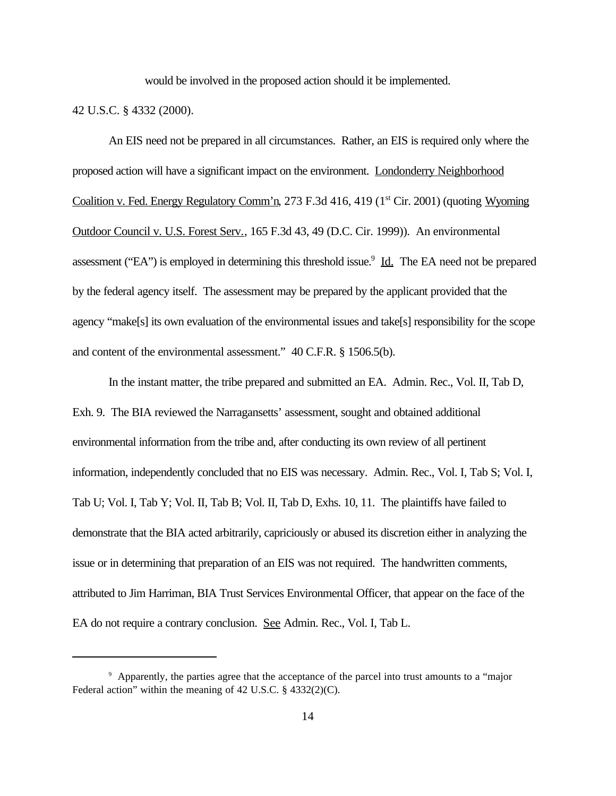would be involved in the proposed action should it be implemented.

### 42 U.S.C. § 4332 (2000).

An EIS need not be prepared in all circumstances. Rather, an EIS is required only where the proposed action will have a significant impact on the environment. Londonderry Neighborhood Coalition v. Fed. Energy Regulatory Comm'n, 273 F.3d 416, 419 (1<sup>st</sup> Cir. 2001) (quoting Wyoming Outdoor Council v. U.S. Forest Serv., 165 F.3d 43, 49 (D.C. Cir. 1999)). An environmental assessment ("EA") is employed in determining this threshold issue.<sup>9</sup> Id. The EA need not be prepared by the federal agency itself. The assessment may be prepared by the applicant provided that the agency "make[s] its own evaluation of the environmental issues and take[s] responsibility for the scope and content of the environmental assessment." 40 C.F.R. § 1506.5(b).

In the instant matter, the tribe prepared and submitted an EA. Admin. Rec., Vol. II, Tab D, Exh. 9. The BIA reviewed the Narragansetts' assessment, sought and obtained additional environmental information from the tribe and, after conducting its own review of all pertinent information, independently concluded that no EIS was necessary. Admin. Rec., Vol. I, Tab S; Vol. I, Tab U; Vol. I, Tab Y; Vol. II, Tab B; Vol. II, Tab D, Exhs. 10, 11. The plaintiffs have failed to demonstrate that the BIA acted arbitrarily, capriciously or abused its discretion either in analyzing the issue or in determining that preparation of an EIS was not required. The handwritten comments, attributed to Jim Harriman, BIA Trust Services Environmental Officer, that appear on the face of the EA do not require a contrary conclusion. See Admin. Rec., Vol. I, Tab L.

<sup>9</sup> Apparently, the parties agree that the acceptance of the parcel into trust amounts to a "major Federal action" within the meaning of 42 U.S.C. § 4332(2)(C).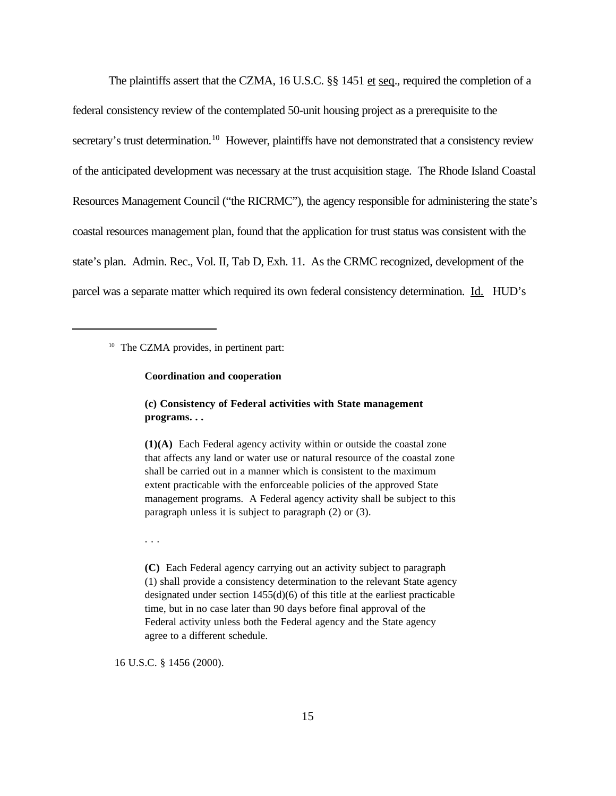The plaintiffs assert that the CZMA, 16 U.S.C. §§ 1451 et seq., required the completion of a federal consistency review of the contemplated 50-unit housing project as a prerequisite to the secretary's trust determination.<sup>10</sup> However, plaintiffs have not demonstrated that a consistency review of the anticipated development was necessary at the trust acquisition stage. The Rhode Island Coastal Resources Management Council ("the RICRMC"), the agency responsible for administering the state's coastal resources management plan, found that the application for trust status was consistent with the state's plan. Admin. Rec., Vol. II, Tab D, Exh. 11. As the CRMC recognized, development of the parcel was a separate matter which required its own federal consistency determination. Id. HUD's

<sup>10</sup> The CZMA provides, in pertinent part:

#### **Coordination and cooperation**

## **(c) Consistency of Federal activities with State management programs. . .**

**(1)(A)** Each Federal agency activity within or outside the coastal zone that affects any land or water use or natural resource of the coastal zone shall be carried out in a manner which is consistent to the maximum extent practicable with the enforceable policies of the approved State management programs. A Federal agency activity shall be subject to this paragraph unless it is subject to paragraph (2) or (3).

. . .

**(C)** Each Federal agency carrying out an activity subject to paragraph (1) shall provide a consistency determination to the relevant State agency designated under section 1455(d)(6) of this title at the earliest practicable time, but in no case later than 90 days before final approval of the Federal activity unless both the Federal agency and the State agency agree to a different schedule.

16 U.S.C. § 1456 (2000).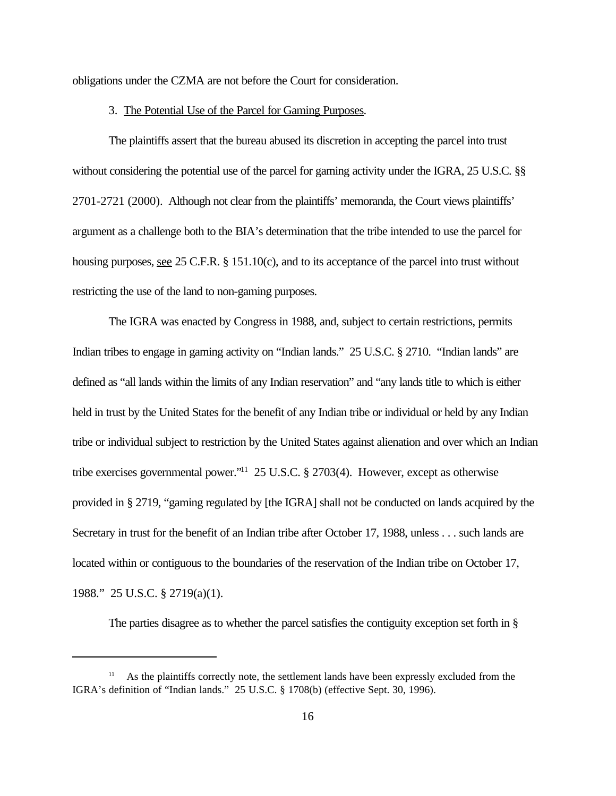obligations under the CZMA are not before the Court for consideration.

#### 3. The Potential Use of the Parcel for Gaming Purposes.

The plaintiffs assert that the bureau abused its discretion in accepting the parcel into trust without considering the potential use of the parcel for gaming activity under the IGRA, 25 U.S.C. §§ 2701-2721 (2000). Although not clear from the plaintiffs' memoranda, the Court views plaintiffs' argument as a challenge both to the BIA's determination that the tribe intended to use the parcel for housing purposes, see 25 C.F.R. § 151.10(c), and to its acceptance of the parcel into trust without restricting the use of the land to non-gaming purposes.

The IGRA was enacted by Congress in 1988, and, subject to certain restrictions, permits Indian tribes to engage in gaming activity on "Indian lands." 25 U.S.C. § 2710. "Indian lands" are defined as "all lands within the limits of any Indian reservation" and "any lands title to which is either held in trust by the United States for the benefit of any Indian tribe or individual or held by any Indian tribe or individual subject to restriction by the United States against alienation and over which an Indian tribe exercises governmental power."<sup>11</sup> 25 U.S.C. § 2703(4). However, except as otherwise provided in § 2719, "gaming regulated by [the IGRA] shall not be conducted on lands acquired by the Secretary in trust for the benefit of an Indian tribe after October 17, 1988, unless . . . such lands are located within or contiguous to the boundaries of the reservation of the Indian tribe on October 17, 1988." 25 U.S.C. § 2719(a)(1).

The parties disagree as to whether the parcel satisfies the contiguity exception set forth in §

<sup>&</sup>lt;sup>11</sup> As the plaintiffs correctly note, the settlement lands have been expressly excluded from the IGRA's definition of "Indian lands." 25 U.S.C. § 1708(b) (effective Sept. 30, 1996).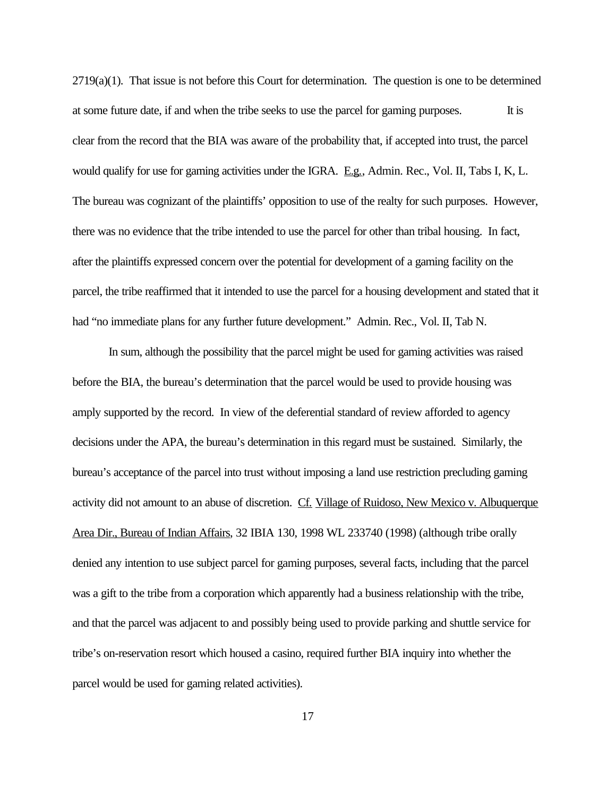2719(a)(1). That issue is not before this Court for determination. The question is one to be determined at some future date, if and when the tribe seeks to use the parcel for gaming purposes. It is clear from the record that the BIA was aware of the probability that, if accepted into trust, the parcel would qualify for use for gaming activities under the IGRA. E.g., Admin. Rec., Vol. II, Tabs I, K, L. The bureau was cognizant of the plaintiffs' opposition to use of the realty for such purposes. However, there was no evidence that the tribe intended to use the parcel for other than tribal housing. In fact, after the plaintiffs expressed concern over the potential for development of a gaming facility on the parcel, the tribe reaffirmed that it intended to use the parcel for a housing development and stated that it had "no immediate plans for any further future development." Admin. Rec., Vol. II, Tab N.

In sum, although the possibility that the parcel might be used for gaming activities was raised before the BIA, the bureau's determination that the parcel would be used to provide housing was amply supported by the record. In view of the deferential standard of review afforded to agency decisions under the APA, the bureau's determination in this regard must be sustained. Similarly, the bureau's acceptance of the parcel into trust without imposing a land use restriction precluding gaming activity did not amount to an abuse of discretion. Cf. Village of Ruidoso, New Mexico v. Albuquerque Area Dir., Bureau of Indian Affairs, 32 IBIA 130, 1998 WL 233740 (1998) (although tribe orally denied any intention to use subject parcel for gaming purposes, several facts, including that the parcel was a gift to the tribe from a corporation which apparently had a business relationship with the tribe, and that the parcel was adjacent to and possibly being used to provide parking and shuttle service for tribe's on-reservation resort which housed a casino, required further BIA inquiry into whether the parcel would be used for gaming related activities).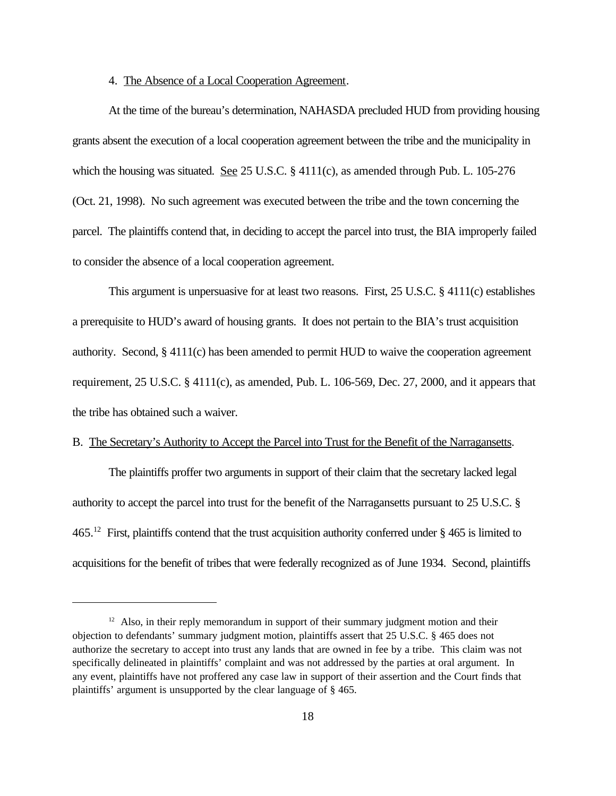### 4. The Absence of a Local Cooperation Agreement.

At the time of the bureau's determination, NAHASDA precluded HUD from providing housing grants absent the execution of a local cooperation agreement between the tribe and the municipality in which the housing was situated. <u>See</u> 25 U.S.C. § 4111(c), as amended through Pub. L. 105-276 (Oct. 21, 1998). No such agreement was executed between the tribe and the town concerning the parcel. The plaintiffs contend that, in deciding to accept the parcel into trust, the BIA improperly failed to consider the absence of a local cooperation agreement.

This argument is unpersuasive for at least two reasons. First, 25 U.S.C. § 4111(c) establishes a prerequisite to HUD's award of housing grants. It does not pertain to the BIA's trust acquisition authority. Second, § 4111(c) has been amended to permit HUD to waive the cooperation agreement requirement,  $25 \text{ U.S.C. } \frac{84111(c)}{c}$ , as amended, Pub. L. 106-569, Dec. 27, 2000, and it appears that the tribe has obtained such a waiver.

## B. The Secretary's Authority to Accept the Parcel into Trust for the Benefit of the Narragansetts.

The plaintiffs proffer two arguments in support of their claim that the secretary lacked legal authority to accept the parcel into trust for the benefit of the Narragansetts pursuant to 25 U.S.C. § 465.<sup>12</sup> First, plaintiffs contend that the trust acquisition authority conferred under § 465 is limited to acquisitions for the benefit of tribes that were federally recognized as of June 1934. Second, plaintiffs

 $12$  Also, in their reply memorandum in support of their summary judgment motion and their objection to defendants' summary judgment motion, plaintiffs assert that 25 U.S.C. § 465 does not authorize the secretary to accept into trust any lands that are owned in fee by a tribe. This claim was not specifically delineated in plaintiffs' complaint and was not addressed by the parties at oral argument. In any event, plaintiffs have not proffered any case law in support of their assertion and the Court finds that plaintiffs' argument is unsupported by the clear language of § 465.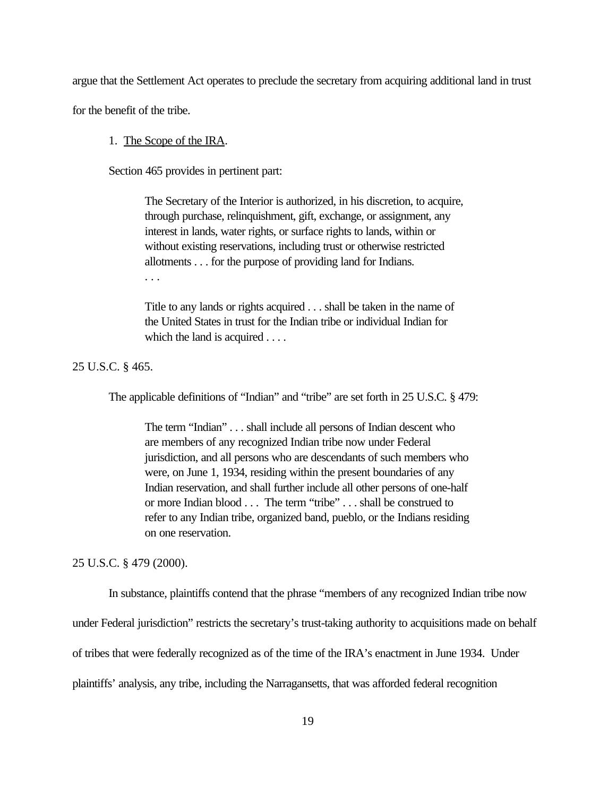argue that the Settlement Act operates to preclude the secretary from acquiring additional land in trust

for the benefit of the tribe.

### 1. The Scope of the IRA.

Section 465 provides in pertinent part:

The Secretary of the Interior is authorized, in his discretion, to acquire, through purchase, relinquishment, gift, exchange, or assignment, any interest in lands, water rights, or surface rights to lands, within or without existing reservations, including trust or otherwise restricted allotments . . . for the purpose of providing land for Indians. . . .

Title to any lands or rights acquired . . . shall be taken in the name of the United States in trust for the Indian tribe or individual Indian for which the land is acquired . . . .

25 U.S.C. § 465.

The applicable definitions of "Indian" and "tribe" are set forth in 25 U.S.C. § 479:

The term "Indian" . . . shall include all persons of Indian descent who are members of any recognized Indian tribe now under Federal jurisdiction, and all persons who are descendants of such members who were, on June 1, 1934, residing within the present boundaries of any Indian reservation, and shall further include all other persons of one-half or more Indian blood . . . The term "tribe" . . . shall be construed to refer to any Indian tribe, organized band, pueblo, or the Indians residing on one reservation.

25 U.S.C. § 479 (2000).

In substance, plaintiffs contend that the phrase "members of any recognized Indian tribe now

under Federal jurisdiction" restricts the secretary's trust-taking authority to acquisitions made on behalf

of tribes that were federally recognized as of the time of the IRA's enactment in June 1934. Under

plaintiffs' analysis, any tribe, including the Narragansetts, that was afforded federal recognition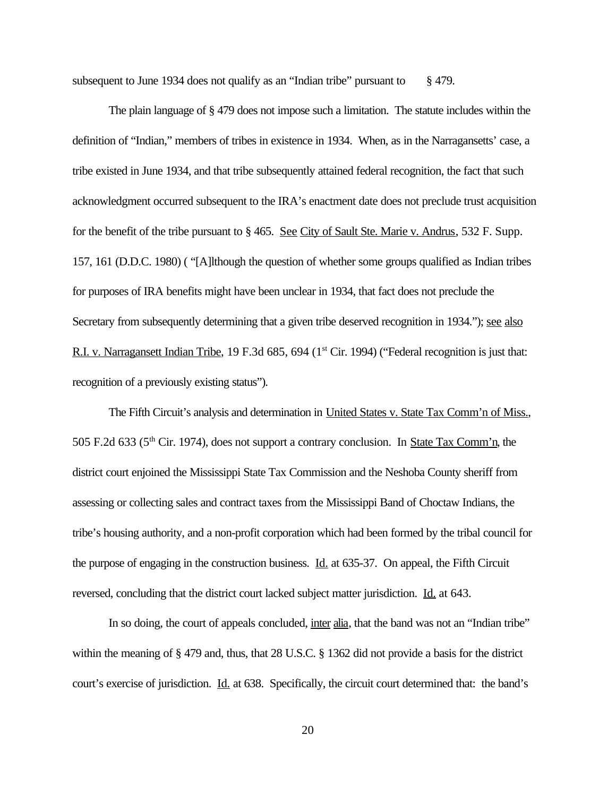subsequent to June 1934 does not qualify as an "Indian tribe" pursuant to  $\S$  479.

The plain language of § 479 does not impose such a limitation. The statute includes within the definition of "Indian," members of tribes in existence in 1934. When, as in the Narragansetts' case, a tribe existed in June 1934, and that tribe subsequently attained federal recognition, the fact that such acknowledgment occurred subsequent to the IRA's enactment date does not preclude trust acquisition for the benefit of the tribe pursuant to § 465. See City of Sault Ste. Marie v. Andrus, 532 F. Supp. 157, 161 (D.D.C. 1980) ( "[A]lthough the question of whether some groups qualified as Indian tribes for purposes of IRA benefits might have been unclear in 1934, that fact does not preclude the Secretary from subsequently determining that a given tribe deserved recognition in 1934."); see also R.I. v. Narragansett Indian Tribe, 19 F.3d 685, 694 (1<sup>st</sup> Cir. 1994) ("Federal recognition is just that: recognition of a previously existing status").

The Fifth Circuit's analysis and determination in United States v. State Tax Comm'n of Miss., 505 F.2d 633 (5<sup>th</sup> Cir. 1974), does not support a contrary conclusion. In <u>State Tax Comm'n</u>, the district court enjoined the Mississippi State Tax Commission and the Neshoba County sheriff from assessing or collecting sales and contract taxes from the Mississippi Band of Choctaw Indians, the tribe's housing authority, and a non-profit corporation which had been formed by the tribal council for the purpose of engaging in the construction business. Id. at 635-37. On appeal, the Fifth Circuit reversed, concluding that the district court lacked subject matter jurisdiction. Id. at 643.

In so doing, the court of appeals concluded, inter alia, that the band was not an "Indian tribe" within the meaning of § 479 and, thus, that 28 U.S.C. § 1362 did not provide a basis for the district court's exercise of jurisdiction. Id. at 638. Specifically, the circuit court determined that: the band's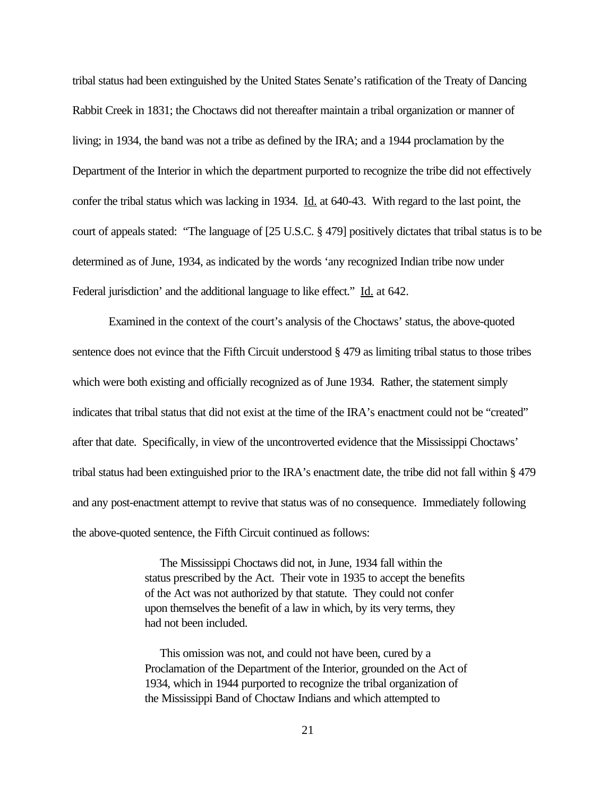tribal status had been extinguished by the United States Senate's ratification of the Treaty of Dancing Rabbit Creek in 1831; the Choctaws did not thereafter maintain a tribal organization or manner of living; in 1934, the band was not a tribe as defined by the IRA; and a 1944 proclamation by the Department of the Interior in which the department purported to recognize the tribe did not effectively confer the tribal status which was lacking in 1934. Id. at 640-43. With regard to the last point, the court of appeals stated: "The language of [25 U.S.C. § 479] positively dictates that tribal status is to be determined as of June, 1934, as indicated by the words 'any recognized Indian tribe now under Federal jurisdiction' and the additional language to like effect." Id. at 642.

Examined in the context of the court's analysis of the Choctaws' status, the above-quoted sentence does not evince that the Fifth Circuit understood § 479 as limiting tribal status to those tribes which were both existing and officially recognized as of June 1934. Rather, the statement simply indicates that tribal status that did not exist at the time of the IRA's enactment could not be "created" after that date. Specifically, in view of the uncontroverted evidence that the Mississippi Choctaws' tribal status had been extinguished prior to the IRA's enactment date, the tribe did not fall within § 479 and any post-enactment attempt to revive that status was of no consequence. Immediately following the above-quoted sentence, the Fifth Circuit continued as follows:

> The Mississippi Choctaws did not, in June, 1934 fall within the status prescribed by the Act. Their vote in 1935 to accept the benefits of the Act was not authorized by that statute. They could not confer upon themselves the benefit of a law in which, by its very terms, they had not been included.

> This omission was not, and could not have been, cured by a Proclamation of the Department of the Interior, grounded on the Act of 1934, which in 1944 purported to recognize the tribal organization of the Mississippi Band of Choctaw Indians and which attempted to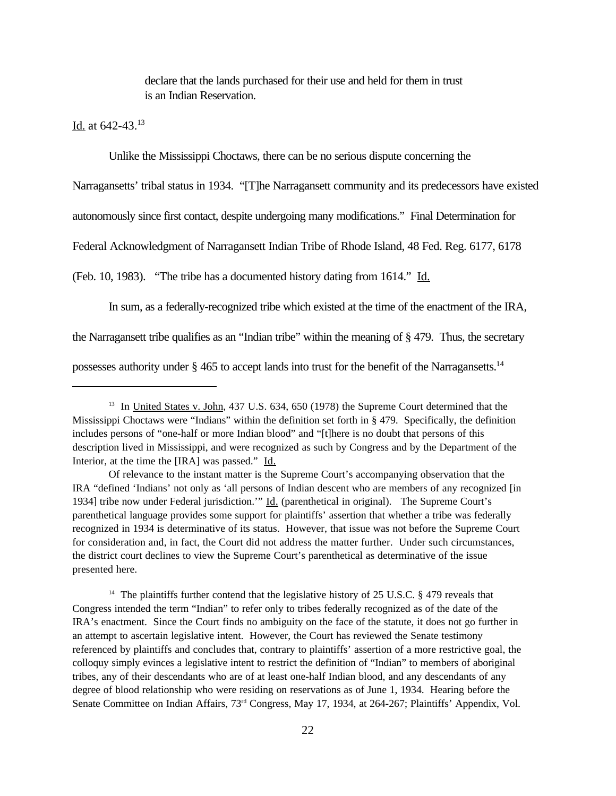declare that the lands purchased for their use and held for them in trust is an Indian Reservation.

Id. at 642-43.<sup>13</sup>

Unlike the Mississippi Choctaws, there can be no serious dispute concerning the

Narragansetts' tribal status in 1934. "[T]he Narragansett community and its predecessors have existed

autonomously since first contact, despite undergoing many modifications." Final Determination for

Federal Acknowledgment of Narragansett Indian Tribe of Rhode Island, 48 Fed. Reg. 6177, 6178

(Feb. 10, 1983). "The tribe has a documented history dating from 1614." Id.

In sum, as a federally-recognized tribe which existed at the time of the enactment of the IRA,

the Narragansett tribe qualifies as an "Indian tribe" within the meaning of § 479. Thus, the secretary

possesses authority under  $\S 465$  to accept lands into trust for the benefit of the Narragansetts.<sup>14</sup>

<sup>14</sup> The plaintiffs further contend that the legislative history of 25 U.S.C. § 479 reveals that Congress intended the term "Indian" to refer only to tribes federally recognized as of the date of the IRA's enactment. Since the Court finds no ambiguity on the face of the statute, it does not go further in an attempt to ascertain legislative intent. However, the Court has reviewed the Senate testimony referenced by plaintiffs and concludes that, contrary to plaintiffs' assertion of a more restrictive goal, the colloquy simply evinces a legislative intent to restrict the definition of "Indian" to members of aboriginal tribes, any of their descendants who are of at least one-half Indian blood, and any descendants of any degree of blood relationship who were residing on reservations as of June 1, 1934. Hearing before the Senate Committee on Indian Affairs, 73rd Congress, May 17, 1934, at 264-267; Plaintiffs' Appendix, Vol.

<sup>&</sup>lt;sup>13</sup> In United States v. John, 437 U.S. 634, 650 (1978) the Supreme Court determined that the Mississippi Choctaws were "Indians" within the definition set forth in § 479. Specifically, the definition includes persons of "one-half or more Indian blood" and "[t]here is no doubt that persons of this description lived in Mississippi, and were recognized as such by Congress and by the Department of the Interior, at the time the [IRA] was passed." Id.

Of relevance to the instant matter is the Supreme Court's accompanying observation that the IRA "defined 'Indians' not only as 'all persons of Indian descent who are members of any recognized [in 1934] tribe now under Federal jurisdiction.'" Id. (parenthetical in original). The Supreme Court's parenthetical language provides some support for plaintiffs' assertion that whether a tribe was federally recognized in 1934 is determinative of its status. However, that issue was not before the Supreme Court for consideration and, in fact, the Court did not address the matter further. Under such circumstances, the district court declines to view the Supreme Court's parenthetical as determinative of the issue presented here.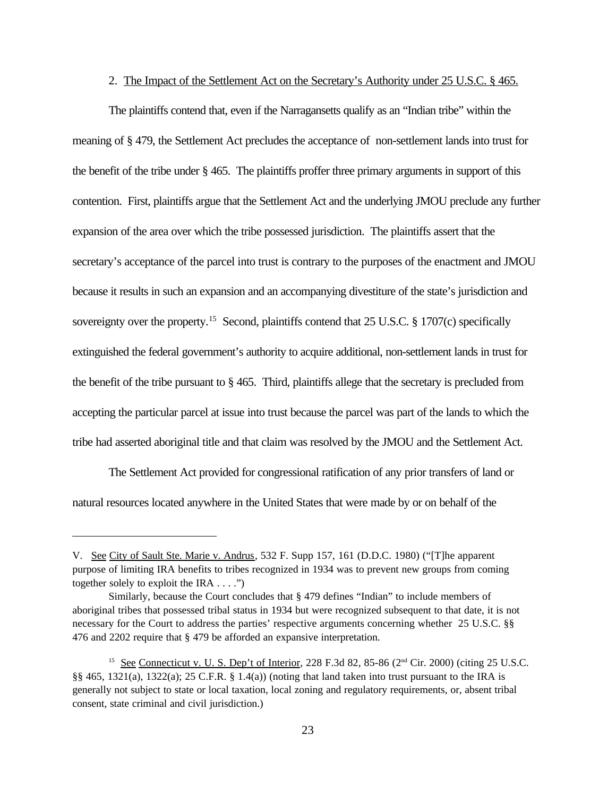### 2. The Impact of the Settlement Act on the Secretary's Authority under 25 U.S.C. § 465.

The plaintiffs contend that, even if the Narragansetts qualify as an "Indian tribe" within the meaning of § 479, the Settlement Act precludes the acceptance of non-settlement lands into trust for the benefit of the tribe under § 465. The plaintiffs proffer three primary arguments in support of this contention. First, plaintiffs argue that the Settlement Act and the underlying JMOU preclude any further expansion of the area over which the tribe possessed jurisdiction. The plaintiffs assert that the secretary's acceptance of the parcel into trust is contrary to the purposes of the enactment and JMOU because it results in such an expansion and an accompanying divestiture of the state's jurisdiction and sovereignty over the property.<sup>15</sup> Second, plaintiffs contend that 25 U.S.C. § 1707(c) specifically extinguished the federal government's authority to acquire additional, non-settlement lands in trust for the benefit of the tribe pursuant to § 465. Third, plaintiffs allege that the secretary is precluded from accepting the particular parcel at issue into trust because the parcel was part of the lands to which the tribe had asserted aboriginal title and that claim was resolved by the JMOU and the Settlement Act.

The Settlement Act provided for congressional ratification of any prior transfers of land or natural resources located anywhere in the United States that were made by or on behalf of the

V. See City of Sault Ste. Marie v. Andrus, 532 F. Supp 157, 161 (D.D.C. 1980) ("[T]he apparent purpose of limiting IRA benefits to tribes recognized in 1934 was to prevent new groups from coming together solely to exploit the IRA  $\dots$ .")

Similarly, because the Court concludes that § 479 defines "Indian" to include members of aboriginal tribes that possessed tribal status in 1934 but were recognized subsequent to that date, it is not necessary for the Court to address the parties' respective arguments concerning whether 25 U.S.C. §§ 476 and 2202 require that § 479 be afforded an expansive interpretation.

<sup>&</sup>lt;sup>15</sup> See Connecticut v. U. S. Dep't of Interior, 228 F.3d 82, 85-86 ( $2<sup>nd</sup> Cir. 2000$ ) (citing 25 U.S.C. §§ 465, 1321(a), 1322(a); 25 C.F.R. § 1.4(a)) (noting that land taken into trust pursuant to the IRA is generally not subject to state or local taxation, local zoning and regulatory requirements, or, absent tribal consent, state criminal and civil jurisdiction.)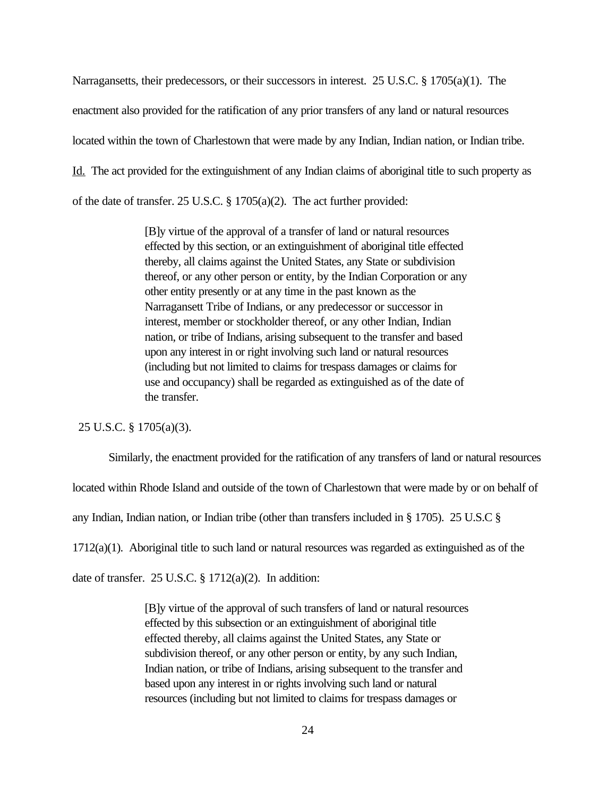Narragansetts, their predecessors, or their successors in interest. 25 U.S.C. § 1705(a)(1). The enactment also provided for the ratification of any prior transfers of any land or natural resources located within the town of Charlestown that were made by any Indian, Indian nation, or Indian tribe. Id. The act provided for the extinguishment of any Indian claims of aboriginal title to such property as of the date of transfer. 25 U.S.C. § 1705(a)(2). The act further provided:

> [B]y virtue of the approval of a transfer of land or natural resources effected by this section, or an extinguishment of aboriginal title effected thereby, all claims against the United States, any State or subdivision thereof, or any other person or entity, by the Indian Corporation or any other entity presently or at any time in the past known as the Narragansett Tribe of Indians, or any predecessor or successor in interest, member or stockholder thereof, or any other Indian, Indian nation, or tribe of Indians, arising subsequent to the transfer and based upon any interest in or right involving such land or natural resources (including but not limited to claims for trespass damages or claims for use and occupancy) shall be regarded as extinguished as of the date of the transfer.

25 U.S.C. § 1705(a)(3).

Similarly, the enactment provided for the ratification of any transfers of land or natural resources

located within Rhode Island and outside of the town of Charlestown that were made by or on behalf of

any Indian, Indian nation, or Indian tribe (other than transfers included in § 1705). 25 U.S.C §

 $1712(a)(1)$ . Aboriginal title to such land or natural resources was regarded as extinguished as of the

date of transfer. 25 U.S.C.  $\S 1712(a)(2)$ . In addition:

[B]y virtue of the approval of such transfers of land or natural resources effected by this subsection or an extinguishment of aboriginal title effected thereby, all claims against the United States, any State or subdivision thereof, or any other person or entity, by any such Indian, Indian nation, or tribe of Indians, arising subsequent to the transfer and based upon any interest in or rights involving such land or natural resources (including but not limited to claims for trespass damages or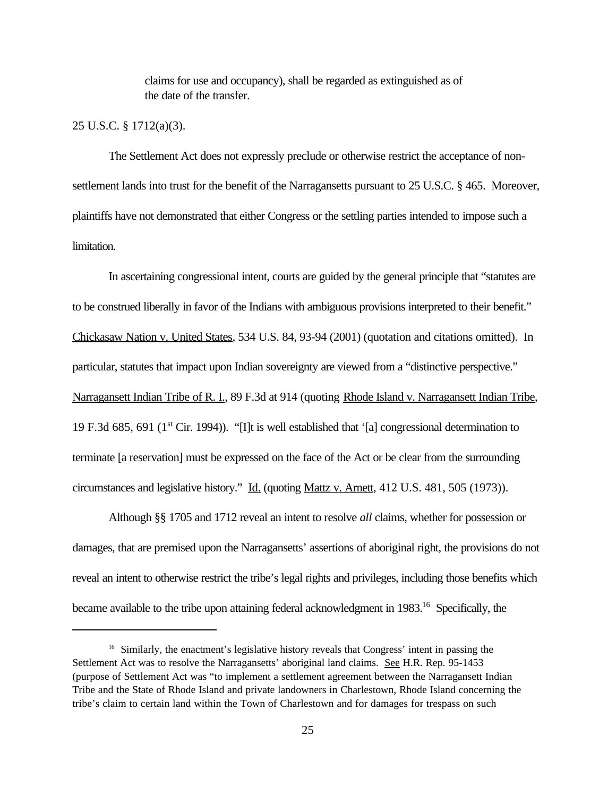claims for use and occupancy), shall be regarded as extinguished as of the date of the transfer.

### 25 U.S.C. § 1712(a)(3).

The Settlement Act does not expressly preclude or otherwise restrict the acceptance of nonsettlement lands into trust for the benefit of the Narragansetts pursuant to 25 U.S.C. § 465. Moreover, plaintiffs have not demonstrated that either Congress or the settling parties intended to impose such a limitation.

In ascertaining congressional intent, courts are guided by the general principle that "statutes are to be construed liberally in favor of the Indians with ambiguous provisions interpreted to their benefit." Chickasaw Nation v. United States, 534 U.S. 84, 93-94 (2001) (quotation and citations omitted). In particular, statutes that impact upon Indian sovereignty are viewed from a "distinctive perspective." Narragansett Indian Tribe of R. I., 89 F.3d at 914 (quoting Rhode Island v. Narragansett Indian Tribe, 19 F.3d 685, 691 ( $1<sup>st</sup>$  Cir. 1994)). "[I]t is well established that '[a] congressional determination to terminate [a reservation] must be expressed on the face of the Act or be clear from the surrounding circumstances and legislative history." Id. (quoting Mattz v. Arnett, 412 U.S. 481, 505 (1973)).

Although §§ 1705 and 1712 reveal an intent to resolve *all* claims, whether for possession or damages, that are premised upon the Narragansetts' assertions of aboriginal right, the provisions do not reveal an intent to otherwise restrict the tribe's legal rights and privileges, including those benefits which became available to the tribe upon attaining federal acknowledgment in 1983.<sup>16</sup> Specifically, the

<sup>&</sup>lt;sup>16</sup> Similarly, the enactment's legislative history reveals that Congress' intent in passing the Settlement Act was to resolve the Narragansetts' aboriginal land claims. See H.R. Rep. 95-1453 (purpose of Settlement Act was "to implement a settlement agreement between the Narragansett Indian Tribe and the State of Rhode Island and private landowners in Charlestown, Rhode Island concerning the tribe's claim to certain land within the Town of Charlestown and for damages for trespass on such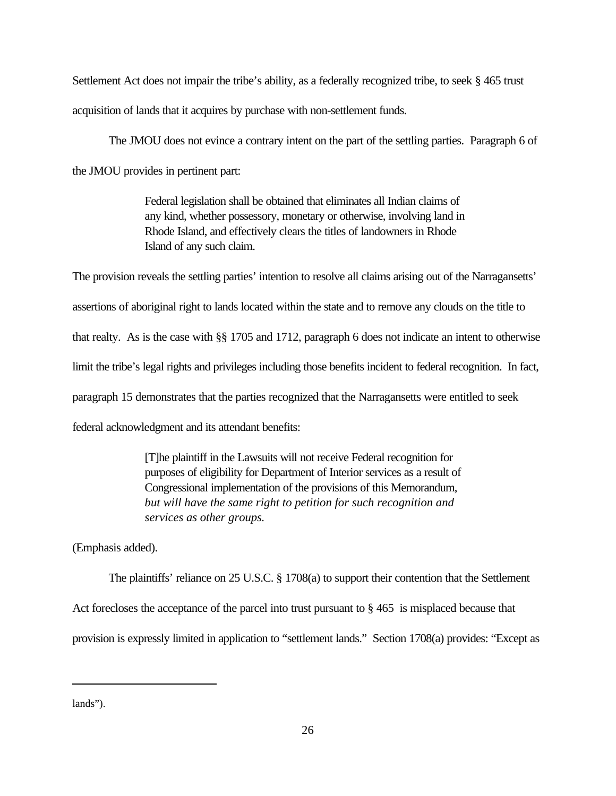Settlement Act does not impair the tribe's ability, as a federally recognized tribe, to seek § 465 trust acquisition of lands that it acquires by purchase with non-settlement funds.

The JMOU does not evince a contrary intent on the part of the settling parties. Paragraph 6 of the JMOU provides in pertinent part:

> Federal legislation shall be obtained that eliminates all Indian claims of any kind, whether possessory, monetary or otherwise, involving land in Rhode Island, and effectively clears the titles of landowners in Rhode Island of any such claim.

The provision reveals the settling parties' intention to resolve all claims arising out of the Narragansetts' assertions of aboriginal right to lands located within the state and to remove any clouds on the title to that realty. As is the case with §§ 1705 and 1712, paragraph 6 does not indicate an intent to otherwise limit the tribe's legal rights and privileges including those benefits incident to federal recognition. In fact, paragraph 15 demonstrates that the parties recognized that the Narragansetts were entitled to seek federal acknowledgment and its attendant benefits:

> [T]he plaintiff in the Lawsuits will not receive Federal recognition for purposes of eligibility for Department of Interior services as a result of Congressional implementation of the provisions of this Memorandum, *but will have the same right to petition for such recognition and services as other groups.*

(Emphasis added).

The plaintiffs' reliance on 25 U.S.C. § 1708(a) to support their contention that the Settlement Act forecloses the acceptance of the parcel into trust pursuant to § 465 is misplaced because that provision is expressly limited in application to "settlement lands." Section 1708(a) provides: "Except as

lands").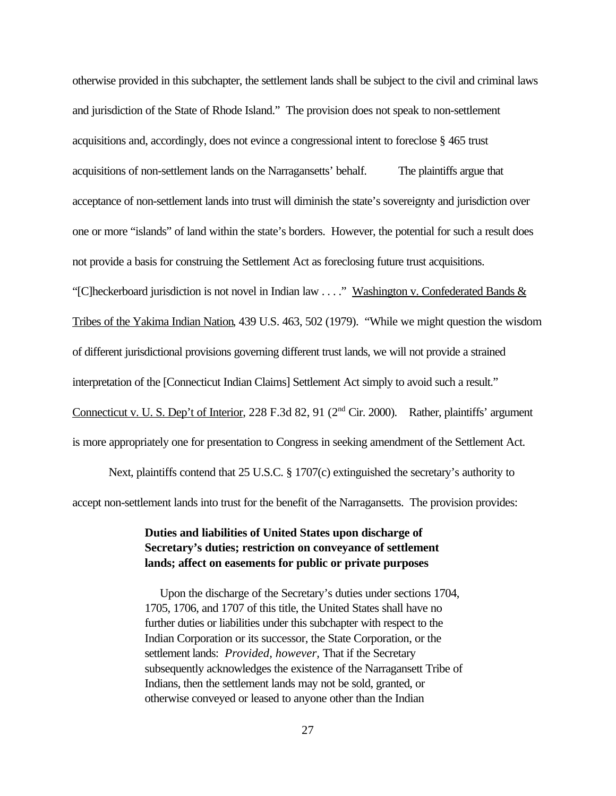otherwise provided in this subchapter, the settlement lands shall be subject to the civil and criminal laws and jurisdiction of the State of Rhode Island." The provision does not speak to non-settlement acquisitions and, accordingly, does not evince a congressional intent to foreclose § 465 trust acquisitions of non-settlement lands on the Narragansetts' behalf. The plaintiffs argue that acceptance of non-settlement lands into trust will diminish the state's sovereignty and jurisdiction over one or more "islands" of land within the state's borders. However, the potential for such a result does not provide a basis for construing the Settlement Act as foreclosing future trust acquisitions. "[C]heckerboard jurisdiction is not novel in Indian law . . . ." Washington v. Confederated Bands & Tribes of the Yakima Indian Nation, 439 U.S. 463, 502 (1979). "While we might question the wisdom of different jurisdictional provisions governing different trust lands, we will not provide a strained interpretation of the [Connecticut Indian Claims] Settlement Act simply to avoid such a result." Connecticut v. U. S. Dep't of Interior, 228 F.3d 82, 91 (2<sup>nd</sup> Cir. 2000). Rather, plaintiffs' argument is more appropriately one for presentation to Congress in seeking amendment of the Settlement Act.

Next, plaintiffs contend that 25 U.S.C. § 1707(c) extinguished the secretary's authority to accept non-settlement lands into trust for the benefit of the Narragansetts. The provision provides:

# **Duties and liabilities of United States upon discharge of Secretary's duties; restriction on conveyance of settlement lands; affect on easements for public or private purposes**

 Upon the discharge of the Secretary's duties under sections 1704, 1705, 1706, and 1707 of this title, the United States shall have no further duties or liabilities under this subchapter with respect to the Indian Corporation or its successor, the State Corporation, or the settlement lands: *Provided, however,* That if the Secretary subsequently acknowledges the existence of the Narragansett Tribe of Indians, then the settlement lands may not be sold, granted, or otherwise conveyed or leased to anyone other than the Indian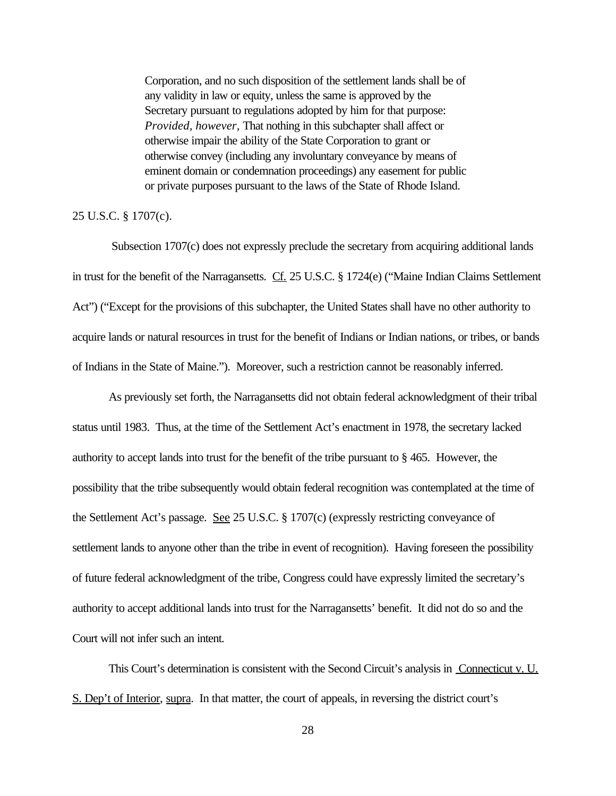Corporation, and no such disposition of the settlement lands shall be of any validity in law or equity, unless the same is approved by the Secretary pursuant to regulations adopted by him for that purpose: *Provided, however,* That nothing in this subchapter shall affect or otherwise impair the ability of the State Corporation to grant or otherwise convey (including any involuntary conveyance by means of eminent domain or condemnation proceedings) any easement for public or private purposes pursuant to the laws of the State of Rhode Island.

### 25 U.S.C. § 1707(c).

 Subsection 1707(c) does not expressly preclude the secretary from acquiring additional lands in trust for the benefit of the Narragansetts. Cf. 25 U.S.C. § 1724(e) ("Maine Indian Claims Settlement Act") ("Except for the provisions of this subchapter, the United States shall have no other authority to acquire lands or natural resources in trust for the benefit of Indians or Indian nations, or tribes, or bands of Indians in the State of Maine."). Moreover, such a restriction cannot be reasonably inferred.

As previously set forth, the Narragansetts did not obtain federal acknowledgment of their tribal status until 1983. Thus, at the time of the Settlement Act's enactment in 1978, the secretary lacked authority to accept lands into trust for the benefit of the tribe pursuant to § 465. However, the possibility that the tribe subsequently would obtain federal recognition was contemplated at the time of the Settlement Act's passage. See 25 U.S.C. § 1707(c) (expressly restricting conveyance of settlement lands to anyone other than the tribe in event of recognition). Having foreseen the possibility of future federal acknowledgment of the tribe, Congress could have expressly limited the secretary's authority to accept additional lands into trust for the Narragansetts' benefit. It did not do so and the Court will not infer such an intent.

This Court's determination is consistent with the Second Circuit's analysis in Connecticut v. U. S. Dep't of Interior, supra. In that matter, the court of appeals, in reversing the district court's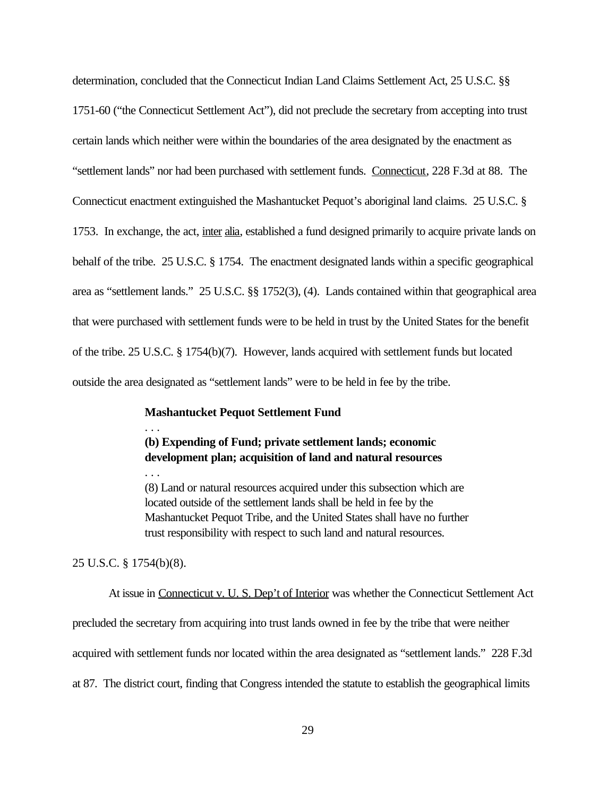determination, concluded that the Connecticut Indian Land Claims Settlement Act, 25 U.S.C. §§ 1751-60 ("the Connecticut Settlement Act"), did not preclude the secretary from accepting into trust certain lands which neither were within the boundaries of the area designated by the enactment as "settlement lands" nor had been purchased with settlement funds. Connecticut, 228 F.3d at 88. The Connecticut enactment extinguished the Mashantucket Pequot's aboriginal land claims. 25 U.S.C. § 1753. In exchange, the act, inter alia, established a fund designed primarily to acquire private lands on behalf of the tribe. 25 U.S.C. § 1754. The enactment designated lands within a specific geographical area as "settlement lands." 25 U.S.C. §§ 1752(3), (4). Lands contained within that geographical area that were purchased with settlement funds were to be held in trust by the United States for the benefit of the tribe. 25 U.S.C. § 1754(b)(7). However, lands acquired with settlement funds but located outside the area designated as "settlement lands" were to be held in fee by the tribe.

## **Mashantucket Pequot Settlement Fund**

## **(b) Expending of Fund; private settlement lands; economic development plan; acquisition of land and natural resources**

(8) Land or natural resources acquired under this subsection which are located outside of the settlement lands shall be held in fee by the Mashantucket Pequot Tribe, and the United States shall have no further trust responsibility with respect to such land and natural resources.

25 U.S.C. § 1754(b)(8).

. . .

. . .

At issue in Connecticut v. U. S. Dep't of Interior was whether the Connecticut Settlement Act precluded the secretary from acquiring into trust lands owned in fee by the tribe that were neither acquired with settlement funds nor located within the area designated as "settlement lands." 228 F.3d at 87. The district court, finding that Congress intended the statute to establish the geographical limits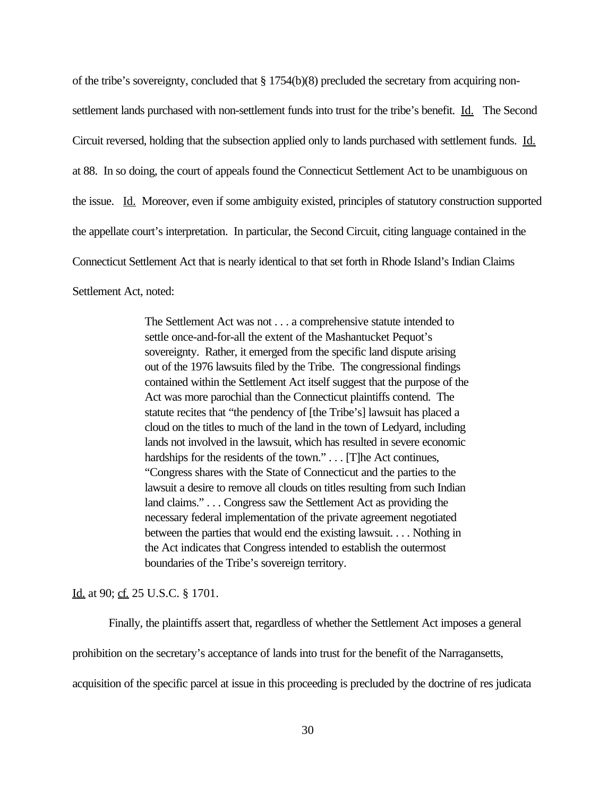of the tribe's sovereignty, concluded that § 1754(b)(8) precluded the secretary from acquiring nonsettlement lands purchased with non-settlement funds into trust for the tribe's benefit. Id. The Second Circuit reversed, holding that the subsection applied only to lands purchased with settlement funds. Id. at 88. In so doing, the court of appeals found the Connecticut Settlement Act to be unambiguous on the issue. Id. Moreover, even if some ambiguity existed, principles of statutory construction supported the appellate court's interpretation. In particular, the Second Circuit, citing language contained in the Connecticut Settlement Act that is nearly identical to that set forth in Rhode Island's Indian Claims Settlement Act, noted:

> The Settlement Act was not . . . a comprehensive statute intended to settle once-and-for-all the extent of the Mashantucket Pequot's sovereignty. Rather, it emerged from the specific land dispute arising out of the 1976 lawsuits filed by the Tribe. The congressional findings contained within the Settlement Act itself suggest that the purpose of the Act was more parochial than the Connecticut plaintiffs contend. The statute recites that "the pendency of [the Tribe's] lawsuit has placed a cloud on the titles to much of the land in the town of Ledyard, including lands not involved in the lawsuit, which has resulted in severe economic hardships for the residents of the town." . . . [T]he Act continues, "Congress shares with the State of Connecticut and the parties to the lawsuit a desire to remove all clouds on titles resulting from such Indian land claims." . . . Congress saw the Settlement Act as providing the necessary federal implementation of the private agreement negotiated between the parties that would end the existing lawsuit. . . . Nothing in the Act indicates that Congress intended to establish the outermost boundaries of the Tribe's sovereign territory.

Id. at 90; cf. 25 U.S.C. § 1701.

Finally, the plaintiffs assert that, regardless of whether the Settlement Act imposes a general prohibition on the secretary's acceptance of lands into trust for the benefit of the Narragansetts, acquisition of the specific parcel at issue in this proceeding is precluded by the doctrine of res judicata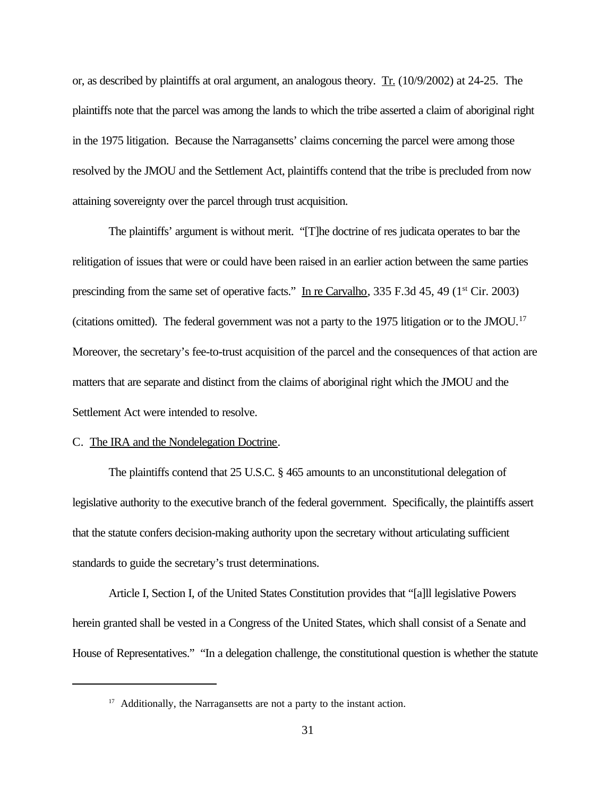or, as described by plaintiffs at oral argument, an analogous theory. Tr. (10/9/2002) at 24-25. The plaintiffs note that the parcel was among the lands to which the tribe asserted a claim of aboriginal right in the 1975 litigation. Because the Narragansetts' claims concerning the parcel were among those resolved by the JMOU and the Settlement Act, plaintiffs contend that the tribe is precluded from now attaining sovereignty over the parcel through trust acquisition.

The plaintiffs' argument is without merit. "[T]he doctrine of res judicata operates to bar the relitigation of issues that were or could have been raised in an earlier action between the same parties prescinding from the same set of operative facts." In re Carvalho, 335 F.3d 45, 49 ( $1<sup>st</sup> Cir. 2003$ ) (citations omitted). The federal government was not a party to the 1975 litigation or to the JMOU.<sup>17</sup> Moreover, the secretary's fee-to-trust acquisition of the parcel and the consequences of that action are matters that are separate and distinct from the claims of aboriginal right which the JMOU and the Settlement Act were intended to resolve.

## C. The IRA and the Nondelegation Doctrine.

The plaintiffs contend that 25 U.S.C. § 465 amounts to an unconstitutional delegation of legislative authority to the executive branch of the federal government. Specifically, the plaintiffs assert that the statute confers decision-making authority upon the secretary without articulating sufficient standards to guide the secretary's trust determinations.

Article I, Section I, of the United States Constitution provides that "[a]ll legislative Powers herein granted shall be vested in a Congress of the United States, which shall consist of a Senate and House of Representatives." "In a delegation challenge, the constitutional question is whether the statute

<sup>&</sup>lt;sup>17</sup> Additionally, the Narragansetts are not a party to the instant action.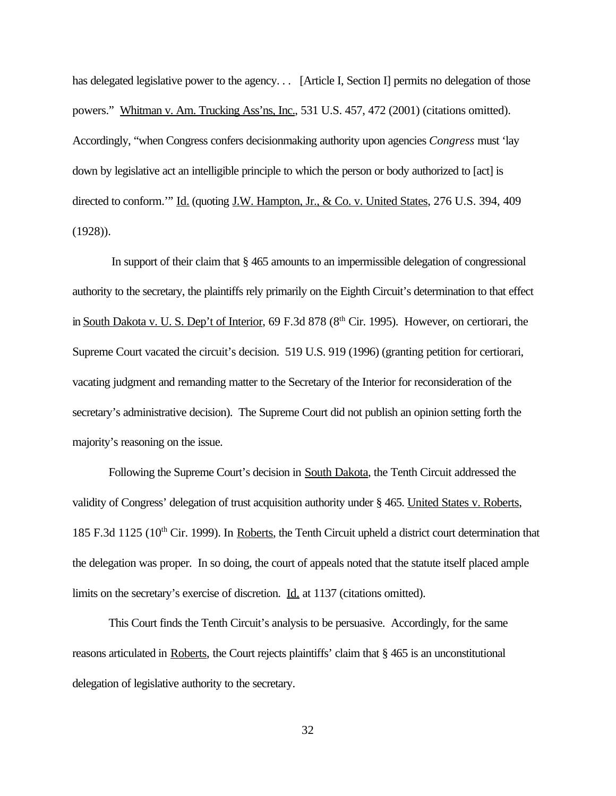has delegated legislative power to the agency... [Article I, Section I] permits no delegation of those powers." Whitman v. Am. Trucking Ass'ns, Inc., 531 U.S. 457, 472 (2001) (citations omitted). Accordingly, "when Congress confers decisionmaking authority upon agencies *Congress* must 'lay down by legislative act an intelligible principle to which the person or body authorized to [act] is directed to conform."" Id. (quoting J.W. Hampton, Jr., & Co. v. United States, 276 U.S. 394, 409 (1928)).

 In support of their claim that § 465 amounts to an impermissible delegation of congressional authority to the secretary, the plaintiffs rely primarily on the Eighth Circuit's determination to that effect in South Dakota v. U. S. Dep't of Interior, 69 F.3d 878 (8<sup>th</sup> Cir. 1995). However, on certiorari, the Supreme Court vacated the circuit's decision. 519 U.S. 919 (1996) (granting petition for certiorari, vacating judgment and remanding matter to the Secretary of the Interior for reconsideration of the secretary's administrative decision). The Supreme Court did not publish an opinion setting forth the majority's reasoning on the issue.

Following the Supreme Court's decision in South Dakota, the Tenth Circuit addressed the validity of Congress' delegation of trust acquisition authority under § 465. United States v. Roberts, 185 F.3d 1125 (10<sup>th</sup> Cir. 1999). In Roberts, the Tenth Circuit upheld a district court determination that the delegation was proper. In so doing, the court of appeals noted that the statute itself placed ample limits on the secretary's exercise of discretion. Id. at 1137 (citations omitted).

This Court finds the Tenth Circuit's analysis to be persuasive. Accordingly, for the same reasons articulated in Roberts, the Court rejects plaintiffs' claim that § 465 is an unconstitutional delegation of legislative authority to the secretary.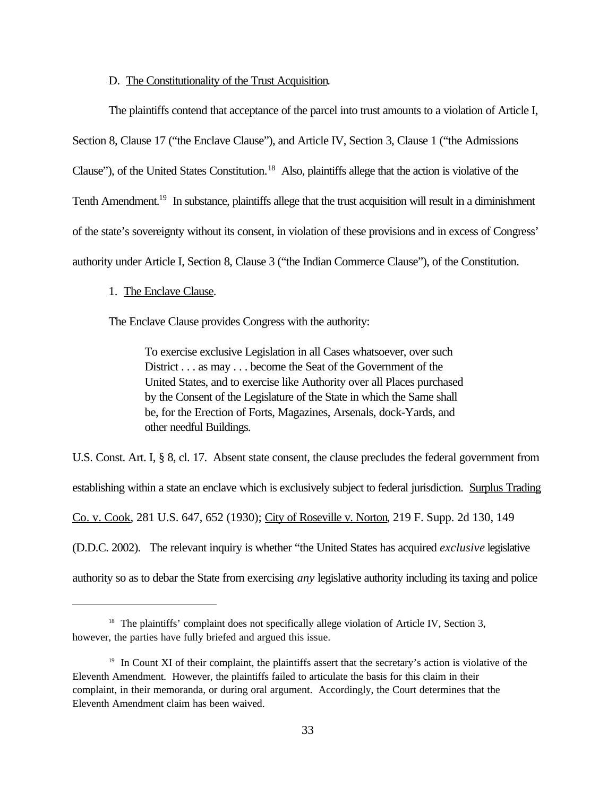### D. The Constitutionality of the Trust Acquisition.

The plaintiffs contend that acceptance of the parcel into trust amounts to a violation of Article I, Section 8, Clause 17 ("the Enclave Clause"), and Article IV, Section 3, Clause 1 ("the Admissions Clause"), of the United States Constitution.<sup>18</sup> Also, plaintiffs allege that the action is violative of the Tenth Amendment.<sup>19</sup> In substance, plaintiffs allege that the trust acquisition will result in a diminishment of the state's sovereignty without its consent, in violation of these provisions and in excess of Congress' authority under Article I, Section 8, Clause 3 ("the Indian Commerce Clause"), of the Constitution.

#### 1. The Enclave Clause.

The Enclave Clause provides Congress with the authority:

To exercise exclusive Legislation in all Cases whatsoever, over such District . . . as may . . . become the Seat of the Government of the United States, and to exercise like Authority over all Places purchased by the Consent of the Legislature of the State in which the Same shall be, for the Erection of Forts, Magazines, Arsenals, dock-Yards, and other needful Buildings.

U.S. Const. Art. I, § 8, cl. 17. Absent state consent, the clause precludes the federal government from establishing within a state an enclave which is exclusively subject to federal jurisdiction. Surplus Trading Co. v. Cook, 281 U.S. 647, 652 (1930); City of Roseville v. Norton, 219 F. Supp. 2d 130, 149 (D.D.C. 2002). The relevant inquiry is whether "the United States has acquired *exclusive* legislative authority so as to debar the State from exercising *any* legislative authority including its taxing and police

<sup>&</sup>lt;sup>18</sup> The plaintiffs' complaint does not specifically allege violation of Article IV, Section 3, however, the parties have fully briefed and argued this issue.

<sup>&</sup>lt;sup>19</sup> In Count XI of their complaint, the plaintiffs assert that the secretary's action is violative of the Eleventh Amendment. However, the plaintiffs failed to articulate the basis for this claim in their complaint, in their memoranda, or during oral argument. Accordingly, the Court determines that the Eleventh Amendment claim has been waived.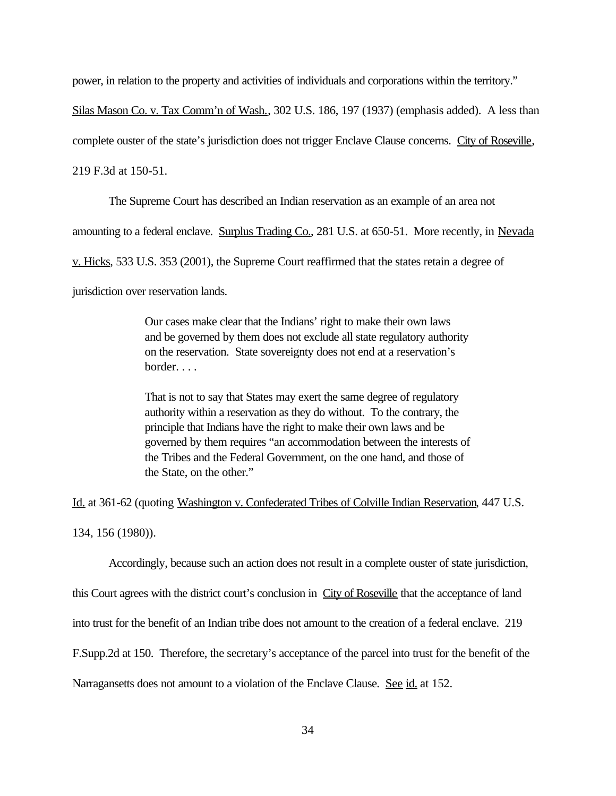power, in relation to the property and activities of individuals and corporations within the territory."

Silas Mason Co. v. Tax Comm'n of Wash., 302 U.S. 186, 197 (1937) (emphasis added). A less than

complete ouster of the state's jurisdiction does not trigger Enclave Clause concerns. City of Roseville,

219 F.3d at 150-51.

The Supreme Court has described an Indian reservation as an example of an area not

amounting to a federal enclave. Surplus Trading Co., 281 U.S. at 650-51. More recently, in Nevada

v. Hicks, 533 U.S. 353 (2001), the Supreme Court reaffirmed that the states retain a degree of

jurisdiction over reservation lands.

Our cases make clear that the Indians' right to make their own laws and be governed by them does not exclude all state regulatory authority on the reservation. State sovereignty does not end at a reservation's border. . . .

That is not to say that States may exert the same degree of regulatory authority within a reservation as they do without. To the contrary, the principle that Indians have the right to make their own laws and be governed by them requires "an accommodation between the interests of the Tribes and the Federal Government, on the one hand, and those of the State, on the other."

Id. at 361-62 (quoting Washington v. Confederated Tribes of Colville Indian Reservation, 447 U.S. 134, 156 (1980)).

Accordingly, because such an action does not result in a complete ouster of state jurisdiction, this Court agrees with the district court's conclusion in City of Roseville that the acceptance of land into trust for the benefit of an Indian tribe does not amount to the creation of a federal enclave. 219 F.Supp.2d at 150. Therefore, the secretary's acceptance of the parcel into trust for the benefit of the Narragansetts does not amount to a violation of the Enclave Clause. See id. at 152.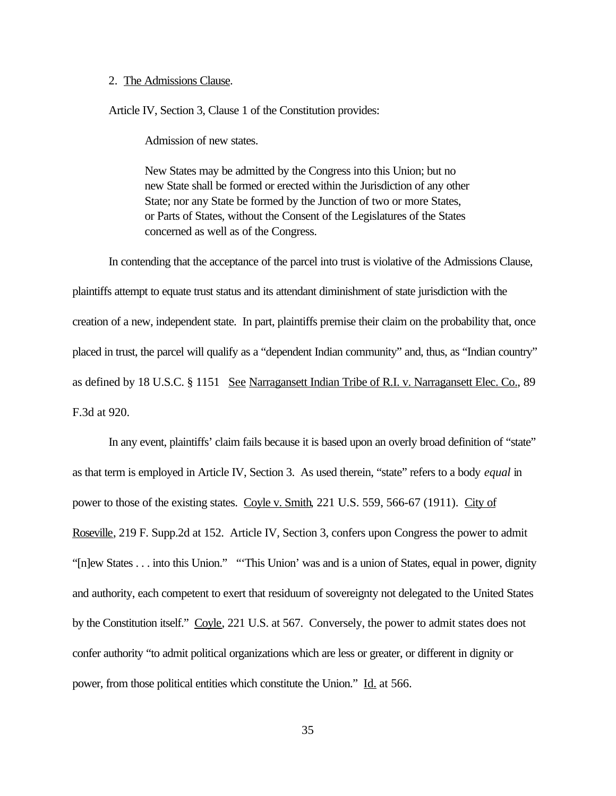### 2. The Admissions Clause.

Article IV, Section 3, Clause 1 of the Constitution provides:

Admission of new states.

New States may be admitted by the Congress into this Union; but no new State shall be formed or erected within the Jurisdiction of any other State; nor any State be formed by the Junction of two or more States, or Parts of States, without the Consent of the Legislatures of the States concerned as well as of the Congress.

In contending that the acceptance of the parcel into trust is violative of the Admissions Clause, plaintiffs attempt to equate trust status and its attendant diminishment of state jurisdiction with the creation of a new, independent state. In part, plaintiffs premise their claim on the probability that, once placed in trust, the parcel will qualify as a "dependent Indian community" and, thus, as "Indian country" as defined by 18 U.S.C. § 1151 See Narragansett Indian Tribe of R.I. v. Narragansett Elec. Co., 89 F.3d at 920.

In any event, plaintiffs' claim fails because it is based upon an overly broad definition of "state" as that term is employed in Article IV, Section 3. As used therein, "state" refers to a body *equal* in power to those of the existing states. Coyle v. Smith, 221 U.S. 559, 566-67 (1911). City of Roseville, 219 F. Supp.2d at 152. Article IV, Section 3, confers upon Congress the power to admit "[n]ew States . . . into this Union." "'This Union' was and is a union of States, equal in power, dignity and authority, each competent to exert that residuum of sovereignty not delegated to the United States by the Constitution itself." Coyle, 221 U.S. at 567. Conversely, the power to admit states does not confer authority "to admit political organizations which are less or greater, or different in dignity or power, from those political entities which constitute the Union." Id. at 566.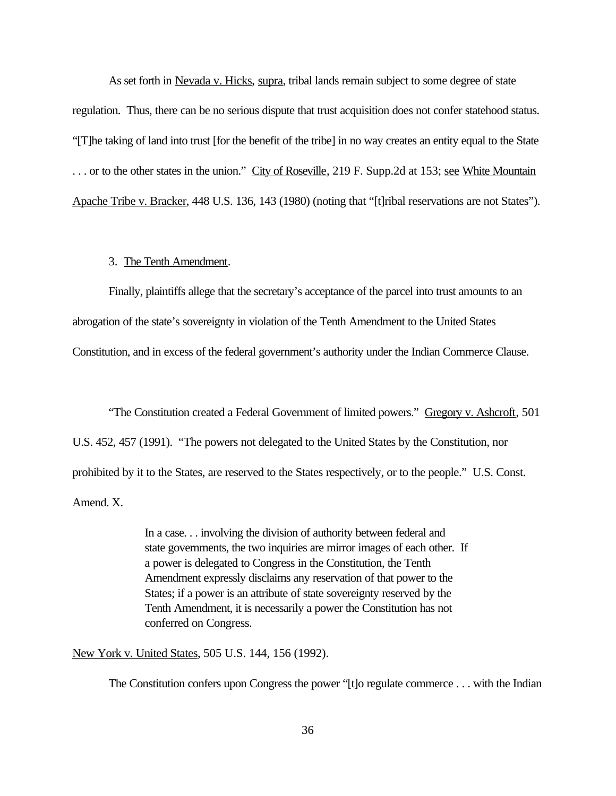As set forth in Nevada v. Hicks, supra, tribal lands remain subject to some degree of state regulation. Thus, there can be no serious dispute that trust acquisition does not confer statehood status. "[T]he taking of land into trust [for the benefit of the tribe] in no way creates an entity equal to the State ... or to the other states in the union." City of Roseville, 219 F. Supp.2d at 153; see White Mountain Apache Tribe v. Bracker, 448 U.S. 136, 143 (1980) (noting that "[t]ribal reservations are not States").

## 3. The Tenth Amendment.

Finally, plaintiffs allege that the secretary's acceptance of the parcel into trust amounts to an abrogation of the state's sovereignty in violation of the Tenth Amendment to the United States Constitution, and in excess of the federal government's authority under the Indian Commerce Clause.

"The Constitution created a Federal Government of limited powers." Gregory v. Ashcroft, 501 U.S. 452, 457 (1991). "The powers not delegated to the United States by the Constitution, nor prohibited by it to the States, are reserved to the States respectively, or to the people." U.S. Const. Amend. X.

> In a case. . . involving the division of authority between federal and state governments, the two inquiries are mirror images of each other. If a power is delegated to Congress in the Constitution, the Tenth Amendment expressly disclaims any reservation of that power to the States; if a power is an attribute of state sovereignty reserved by the Tenth Amendment, it is necessarily a power the Constitution has not conferred on Congress.

New York v. United States, 505 U.S. 144, 156 (1992).

The Constitution confers upon Congress the power "[t]o regulate commerce . . . with the Indian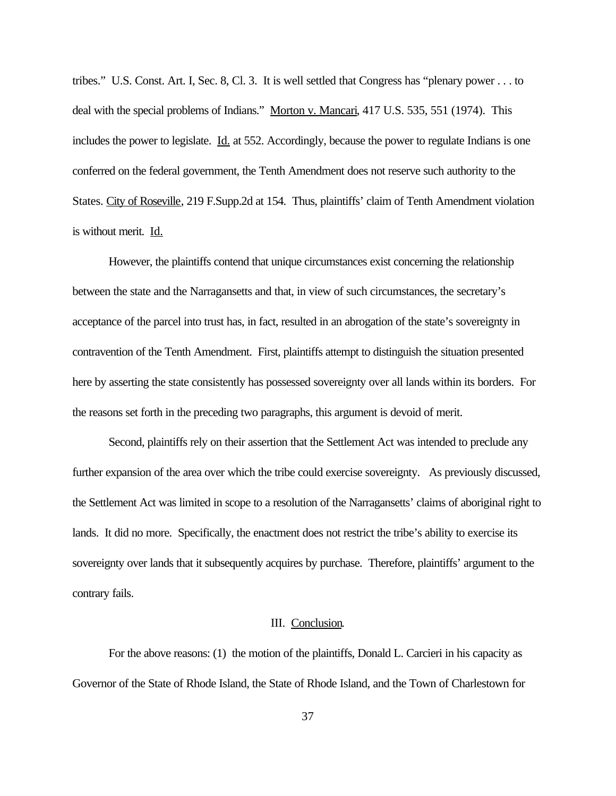tribes." U.S. Const. Art. I, Sec. 8, Cl. 3. It is well settled that Congress has "plenary power . . . to deal with the special problems of Indians." Morton v. Mancari, 417 U.S. 535, 551 (1974). This includes the power to legislate. <u>Id.</u> at 552. Accordingly, because the power to regulate Indians is one conferred on the federal government, the Tenth Amendment does not reserve such authority to the States. City of Roseville, 219 F.Supp.2d at 154. Thus, plaintiffs' claim of Tenth Amendment violation is without merit. Id.

However, the plaintiffs contend that unique circumstances exist concerning the relationship between the state and the Narragansetts and that, in view of such circumstances, the secretary's acceptance of the parcel into trust has, in fact, resulted in an abrogation of the state's sovereignty in contravention of the Tenth Amendment. First, plaintiffs attempt to distinguish the situation presented here by asserting the state consistently has possessed sovereignty over all lands within its borders. For the reasons set forth in the preceding two paragraphs, this argument is devoid of merit.

Second, plaintiffs rely on their assertion that the Settlement Act was intended to preclude any further expansion of the area over which the tribe could exercise sovereignty. As previously discussed, the Settlement Act was limited in scope to a resolution of the Narragansetts' claims of aboriginal right to lands. It did no more. Specifically, the enactment does not restrict the tribe's ability to exercise its sovereignty over lands that it subsequently acquires by purchase. Therefore, plaintiffs' argument to the contrary fails.

#### III. Conclusion.

For the above reasons: (1) the motion of the plaintiffs, Donald L. Carcieri in his capacity as Governor of the State of Rhode Island, the State of Rhode Island, and the Town of Charlestown for